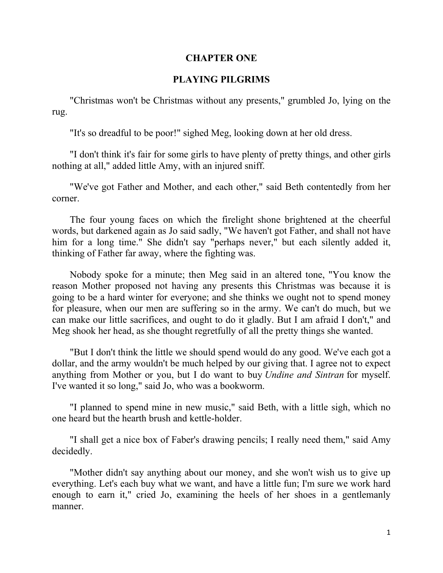### **CHAPTER ONE**

#### **PLAYING PILGRIMS**

"Christmas won't be Christmas without any presents," grumbled Jo, lying on the rug.

"It's so dreadful to be poor!" sighed Meg, looking down at her old dress.

"I don't think it's fair for some girls to have plenty of pretty things, and other girls nothing at all," added little Amy, with an injured sniff.

"We've got Father and Mother, and each other," said Beth contentedly from her corner.

The four young faces on which the firelight shone brightened at the cheerful words, but darkened again as Jo said sadly, "We haven't got Father, and shall not have him for a long time." She didn't say "perhaps never," but each silently added it, thinking of Father far away, where the fighting was.

Nobody spoke for a minute; then Meg said in an altered tone, "You know the reason Mother proposed not having any presents this Christmas was because it is going to be a hard winter for everyone; and she thinks we ought not to spend money for pleasure, when our men are suffering so in the army. We can't do much, but we can make our little sacrifices, and ought to do it gladly. But I am afraid I don't," and Meg shook her head, as she thought regretfully of all the pretty things she wanted.

"But I don't think the little we should spend would do any good. We've each got a dollar, and the army wouldn't be much helped by our giving that. I agree not to expect anything from Mother or you, but I do want to buy *Undine and Sintran* for myself. I've wanted it so long," said Jo, who was a bookworm.

"I planned to spend mine in new music," said Beth, with a little sigh, which no one heard but the hearth brush and kettle-holder.

"I shall get a nice box of Faber's drawing pencils; I really need them," said Amy decidedly.

"Mother didn't say anything about our money, and she won't wish us to give up everything. Let's each buy what we want, and have a little fun; I'm sure we work hard enough to earn it," cried Jo, examining the heels of her shoes in a gentlemanly manner.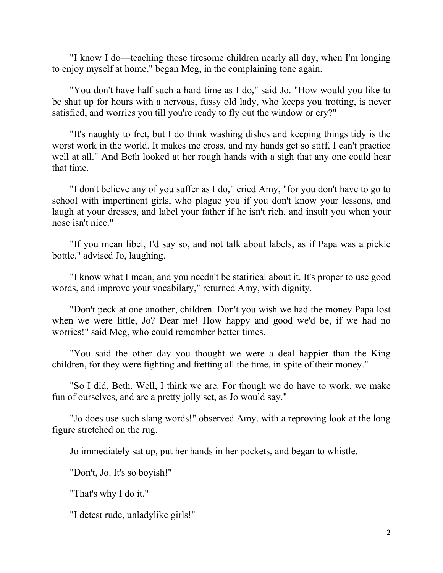"I know I do—teaching those tiresome children nearly all day, when I'm longing to enjoy myself at home," began Meg, in the complaining tone again.

"You don't have half such a hard time as I do," said Jo. "How would you like to be shut up for hours with a nervous, fussy old lady, who keeps you trotting, is never satisfied, and worries you till you're ready to fly out the window or cry?"

"It's naughty to fret, but I do think washing dishes and keeping things tidy is the worst work in the world. It makes me cross, and my hands get so stiff, I can't practice well at all." And Beth looked at her rough hands with a sigh that any one could hear that time.

"I don't believe any of you suffer as I do," cried Amy, "for you don't have to go to school with impertinent girls, who plague you if you don't know your lessons, and laugh at your dresses, and label your father if he isn't rich, and insult you when your nose isn't nice."

"If you mean libel, I'd say so, and not talk about labels, as if Papa was a pickle bottle," advised Jo, laughing.

"I know what I mean, and you needn't be statirical about it. It's proper to use good words, and improve your vocabilary," returned Amy, with dignity.

"Don't peck at one another, children. Don't you wish we had the money Papa lost when we were little, Jo? Dear me! How happy and good we'd be, if we had no worries!" said Meg, who could remember better times.

"You said the other day you thought we were a deal happier than the King children, for they were fighting and fretting all the time, in spite of their money."

"So I did, Beth. Well, I think we are. For though we do have to work, we make fun of ourselves, and are a pretty jolly set, as Jo would say."

"Jo does use such slang words!" observed Amy, with a reproving look at the long figure stretched on the rug.

Jo immediately sat up, put her hands in her pockets, and began to whistle.

"Don't, Jo. It's so boyish!"

"That's why I do it."

"I detest rude, unladylike girls!"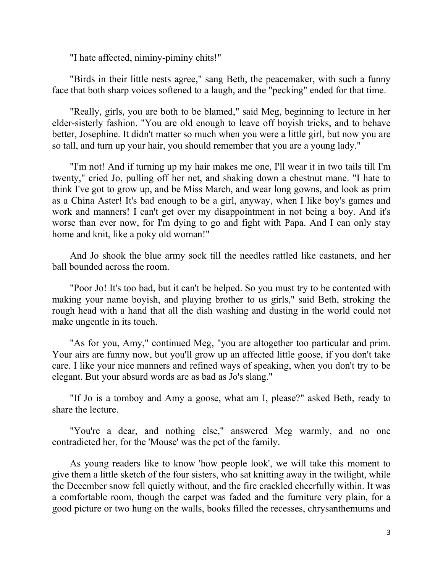"I hate affected, niminy-piminy chits!"

"Birds in their little nests agree," sang Beth, the peacemaker, with such a funny face that both sharp voices softened to a laugh, and the "pecking" ended for that time.

"Really, girls, you are both to be blamed," said Meg, beginning to lecture in her elder-sisterly fashion. "You are old enough to leave off boyish tricks, and to behave better, Josephine. It didn't matter so much when you were a little girl, but now you are so tall, and turn up your hair, you should remember that you are a young lady."

"I'm not! And if turning up my hair makes me one, I'll wear it in two tails till I'm twenty," cried Jo, pulling off her net, and shaking down a chestnut mane. "I hate to think I've got to grow up, and be Miss March, and wear long gowns, and look as prim as a China Aster! It's bad enough to be a girl, anyway, when I like boy's games and work and manners! I can't get over my disappointment in not being a boy. And it's worse than ever now, for I'm dying to go and fight with Papa. And I can only stay home and knit, like a poky old woman!"

And Jo shook the blue army sock till the needles rattled like castanets, and her ball bounded across the room.

"Poor Jo! It's too bad, but it can't be helped. So you must try to be contented with making your name boyish, and playing brother to us girls," said Beth, stroking the rough head with a hand that all the dish washing and dusting in the world could not make ungentle in its touch.

"As for you, Amy," continued Meg, "you are altogether too particular and prim. Your airs are funny now, but you'll grow up an affected little goose, if you don't take care. I like your nice manners and refined ways of speaking, when you don't try to be elegant. But your absurd words are as bad as Jo's slang."

"If Jo is a tomboy and Amy a goose, what am I, please?" asked Beth, ready to share the lecture.

"You're a dear, and nothing else," answered Meg warmly, and no one contradicted her, for the 'Mouse' was the pet of the family.

As young readers like to know 'how people look', we will take this moment to give them a little sketch of the four sisters, who sat knitting away in the twilight, while the December snow fell quietly without, and the fire crackled cheerfully within. It was a comfortable room, though the carpet was faded and the furniture very plain, for a good picture or two hung on the walls, books filled the recesses, chrysanthemums and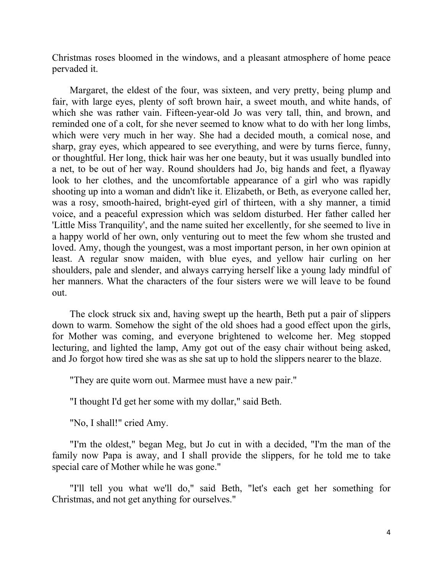Christmas roses bloomed in the windows, and a pleasant atmosphere of home peace pervaded it.

Margaret, the eldest of the four, was sixteen, and very pretty, being plump and fair, with large eyes, plenty of soft brown hair, a sweet mouth, and white hands, of which she was rather vain. Fifteen-year-old Jo was very tall, thin, and brown, and reminded one of a colt, for she never seemed to know what to do with her long limbs, which were very much in her way. She had a decided mouth, a comical nose, and sharp, gray eyes, which appeared to see everything, and were by turns fierce, funny, or thoughtful. Her long, thick hair was her one beauty, but it was usually bundled into a net, to be out of her way. Round shoulders had Jo, big hands and feet, a flyaway look to her clothes, and the uncomfortable appearance of a girl who was rapidly shooting up into a woman and didn't like it. Elizabeth, or Beth, as everyone called her, was a rosy, smooth-haired, bright-eyed girl of thirteen, with a shy manner, a timid voice, and a peaceful expression which was seldom disturbed. Her father called her 'Little Miss Tranquility', and the name suited her excellently, for she seemed to live in a happy world of her own, only venturing out to meet the few whom she trusted and loved. Amy, though the youngest, was a most important person, in her own opinion at least. A regular snow maiden, with blue eyes, and yellow hair curling on her shoulders, pale and slender, and always carrying herself like a young lady mindful of her manners. What the characters of the four sisters were we will leave to be found out.

The clock struck six and, having swept up the hearth, Beth put a pair of slippers down to warm. Somehow the sight of the old shoes had a good effect upon the girls, for Mother was coming, and everyone brightened to welcome her. Meg stopped lecturing, and lighted the lamp, Amy got out of the easy chair without being asked, and Jo forgot how tired she was as she sat up to hold the slippers nearer to the blaze.

"They are quite worn out. Marmee must have a new pair."

"I thought I'd get her some with my dollar," said Beth.

"No, I shall!" cried Amy.

"I'm the oldest," began Meg, but Jo cut in with a decided, "I'm the man of the family now Papa is away, and I shall provide the slippers, for he told me to take special care of Mother while he was gone."

"I'll tell you what we'll do," said Beth, "let's each get her something for Christmas, and not get anything for ourselves."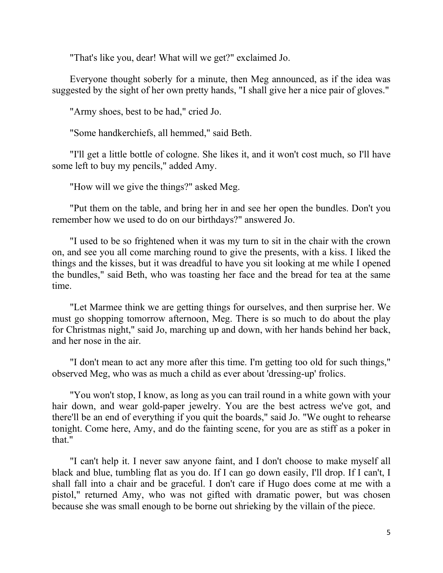"That's like you, dear! What will we get?" exclaimed Jo.

Everyone thought soberly for a minute, then Meg announced, as if the idea was suggested by the sight of her own pretty hands, "I shall give her a nice pair of gloves."

"Army shoes, best to be had," cried Jo.

"Some handkerchiefs, all hemmed," said Beth.

"I'll get a little bottle of cologne. She likes it, and it won't cost much, so I'll have some left to buy my pencils," added Amy.

"How will we give the things?" asked Meg.

"Put them on the table, and bring her in and see her open the bundles. Don't you remember how we used to do on our birthdays?" answered Jo.

"I used to be so frightened when it was my turn to sit in the chair with the crown on, and see you all come marching round to give the presents, with a kiss. I liked the things and the kisses, but it was dreadful to have you sit looking at me while I opened the bundles," said Beth, who was toasting her face and the bread for tea at the same time.

"Let Marmee think we are getting things for ourselves, and then surprise her. We must go shopping tomorrow afternoon, Meg. There is so much to do about the play for Christmas night," said Jo, marching up and down, with her hands behind her back, and her nose in the air.

"I don't mean to act any more after this time. I'm getting too old for such things," observed Meg, who was as much a child as ever about 'dressing-up' frolics.

"You won't stop, I know, as long as you can trail round in a white gown with your hair down, and wear gold-paper jewelry. You are the best actress we've got, and there'll be an end of everything if you quit the boards," said Jo. "We ought to rehearse tonight. Come here, Amy, and do the fainting scene, for you are as stiff as a poker in that."

"I can't help it. I never saw anyone faint, and I don't choose to make myself all black and blue, tumbling flat as you do. If I can go down easily, I'll drop. If I can't, I shall fall into a chair and be graceful. I don't care if Hugo does come at me with a pistol," returned Amy, who was not gifted with dramatic power, but was chosen because she was small enough to be borne out shrieking by the villain of the piece.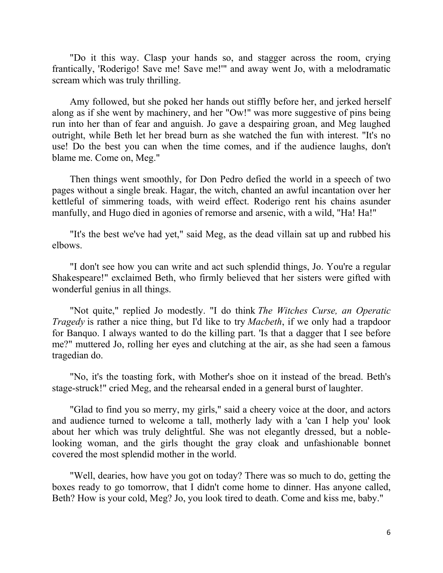"Do it this way. Clasp your hands so, and stagger across the room, crying frantically, 'Roderigo! Save me! Save me!'" and away went Jo, with a melodramatic scream which was truly thrilling.

Amy followed, but she poked her hands out stiffly before her, and jerked herself along as if she went by machinery, and her "Ow!" was more suggestive of pins being run into her than of fear and anguish. Jo gave a despairing groan, and Meg laughed outright, while Beth let her bread burn as she watched the fun with interest. "It's no use! Do the best you can when the time comes, and if the audience laughs, don't blame me. Come on, Meg."

Then things went smoothly, for Don Pedro defied the world in a speech of two pages without a single break. Hagar, the witch, chanted an awful incantation over her kettleful of simmering toads, with weird effect. Roderigo rent his chains asunder manfully, and Hugo died in agonies of remorse and arsenic, with a wild, "Ha! Ha!"

"It's the best we've had yet," said Meg, as the dead villain sat up and rubbed his elbows.

"I don't see how you can write and act such splendid things, Jo. You're a regular Shakespeare!" exclaimed Beth, who firmly believed that her sisters were gifted with wonderful genius in all things.

"Not quite," replied Jo modestly. "I do think *The Witches Curse, an Operatic Tragedy* is rather a nice thing, but I'd like to try *Macbeth*, if we only had a trapdoor for Banquo. I always wanted to do the killing part. 'Is that a dagger that I see before me?" muttered Jo, rolling her eyes and clutching at the air, as she had seen a famous tragedian do.

"No, it's the toasting fork, with Mother's shoe on it instead of the bread. Beth's stage-struck!" cried Meg, and the rehearsal ended in a general burst of laughter.

"Glad to find you so merry, my girls," said a cheery voice at the door, and actors and audience turned to welcome a tall, motherly lady with a 'can I help you' look about her which was truly delightful. She was not elegantly dressed, but a noblelooking woman, and the girls thought the gray cloak and unfashionable bonnet covered the most splendid mother in the world.

"Well, dearies, how have you got on today? There was so much to do, getting the boxes ready to go tomorrow, that I didn't come home to dinner. Has anyone called, Beth? How is your cold, Meg? Jo, you look tired to death. Come and kiss me, baby."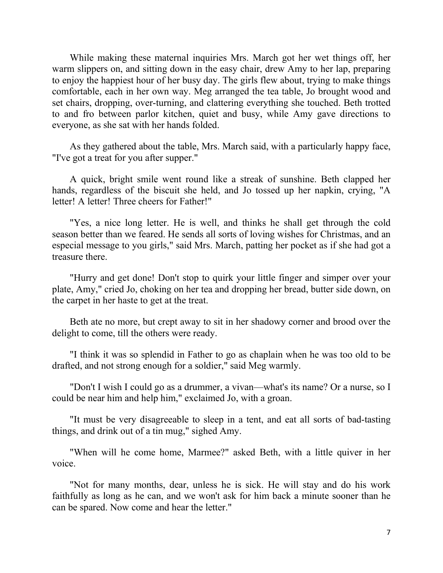While making these maternal inquiries Mrs. March got her wet things off, her warm slippers on, and sitting down in the easy chair, drew Amy to her lap, preparing to enjoy the happiest hour of her busy day. The girls flew about, trying to make things comfortable, each in her own way. Meg arranged the tea table, Jo brought wood and set chairs, dropping, over-turning, and clattering everything she touched. Beth trotted to and fro between parlor kitchen, quiet and busy, while Amy gave directions to everyone, as she sat with her hands folded.

As they gathered about the table, Mrs. March said, with a particularly happy face, "I've got a treat for you after supper."

A quick, bright smile went round like a streak of sunshine. Beth clapped her hands, regardless of the biscuit she held, and Jo tossed up her napkin, crying, "A letter! A letter! Three cheers for Father!"

"Yes, a nice long letter. He is well, and thinks he shall get through the cold season better than we feared. He sends all sorts of loving wishes for Christmas, and an especial message to you girls," said Mrs. March, patting her pocket as if she had got a treasure there.

"Hurry and get done! Don't stop to quirk your little finger and simper over your plate, Amy," cried Jo, choking on her tea and dropping her bread, butter side down, on the carpet in her haste to get at the treat.

Beth ate no more, but crept away to sit in her shadowy corner and brood over the delight to come, till the others were ready.

"I think it was so splendid in Father to go as chaplain when he was too old to be drafted, and not strong enough for a soldier," said Meg warmly.

"Don't I wish I could go as a drummer, a vivan—what's its name? Or a nurse, so I could be near him and help him," exclaimed Jo, with a groan.

"It must be very disagreeable to sleep in a tent, and eat all sorts of bad-tasting things, and drink out of a tin mug," sighed Amy.

"When will he come home, Marmee?" asked Beth, with a little quiver in her voice.

"Not for many months, dear, unless he is sick. He will stay and do his work faithfully as long as he can, and we won't ask for him back a minute sooner than he can be spared. Now come and hear the letter."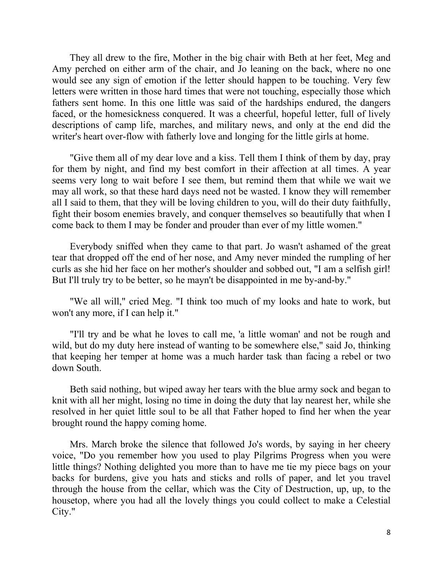They all drew to the fire, Mother in the big chair with Beth at her feet, Meg and Amy perched on either arm of the chair, and Jo leaning on the back, where no one would see any sign of emotion if the letter should happen to be touching. Very few letters were written in those hard times that were not touching, especially those which fathers sent home. In this one little was said of the hardships endured, the dangers faced, or the homesickness conquered. It was a cheerful, hopeful letter, full of lively descriptions of camp life, marches, and military news, and only at the end did the writer's heart over-flow with fatherly love and longing for the little girls at home.

"Give them all of my dear love and a kiss. Tell them I think of them by day, pray for them by night, and find my best comfort in their affection at all times. A year seems very long to wait before I see them, but remind them that while we wait we may all work, so that these hard days need not be wasted. I know they will remember all I said to them, that they will be loving children to you, will do their duty faithfully, fight their bosom enemies bravely, and conquer themselves so beautifully that when I come back to them I may be fonder and prouder than ever of my little women."

Everybody sniffed when they came to that part. Jo wasn't ashamed of the great tear that dropped off the end of her nose, and Amy never minded the rumpling of her curls as she hid her face on her mother's shoulder and sobbed out, "I am a selfish girl! But I'll truly try to be better, so he mayn't be disappointed in me by-and-by."

"We all will," cried Meg. "I think too much of my looks and hate to work, but won't any more, if I can help it."

"I'll try and be what he loves to call me, 'a little woman' and not be rough and wild, but do my duty here instead of wanting to be somewhere else," said Jo, thinking that keeping her temper at home was a much harder task than facing a rebel or two down South.

Beth said nothing, but wiped away her tears with the blue army sock and began to knit with all her might, losing no time in doing the duty that lay nearest her, while she resolved in her quiet little soul to be all that Father hoped to find her when the year brought round the happy coming home.

Mrs. March broke the silence that followed Jo's words, by saying in her cheery voice, "Do you remember how you used to play Pilgrims Progress when you were little things? Nothing delighted you more than to have me tie my piece bags on your backs for burdens, give you hats and sticks and rolls of paper, and let you travel through the house from the cellar, which was the City of Destruction, up, up, to the housetop, where you had all the lovely things you could collect to make a Celestial City."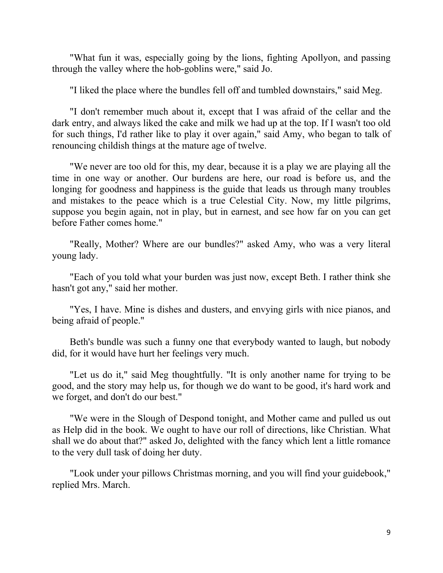"What fun it was, especially going by the lions, fighting Apollyon, and passing through the valley where the hob-goblins were," said Jo.

"I liked the place where the bundles fell off and tumbled downstairs," said Meg.

"I don't remember much about it, except that I was afraid of the cellar and the dark entry, and always liked the cake and milk we had up at the top. If I wasn't too old for such things, I'd rather like to play it over again," said Amy, who began to talk of renouncing childish things at the mature age of twelve.

"We never are too old for this, my dear, because it is a play we are playing all the time in one way or another. Our burdens are here, our road is before us, and the longing for goodness and happiness is the guide that leads us through many troubles and mistakes to the peace which is a true Celestial City. Now, my little pilgrims, suppose you begin again, not in play, but in earnest, and see how far on you can get before Father comes home."

"Really, Mother? Where are our bundles?" asked Amy, who was a very literal young lady.

"Each of you told what your burden was just now, except Beth. I rather think she hasn't got any," said her mother.

"Yes, I have. Mine is dishes and dusters, and envying girls with nice pianos, and being afraid of people."

Beth's bundle was such a funny one that everybody wanted to laugh, but nobody did, for it would have hurt her feelings very much.

"Let us do it," said Meg thoughtfully. "It is only another name for trying to be good, and the story may help us, for though we do want to be good, it's hard work and we forget, and don't do our best."

"We were in the Slough of Despond tonight, and Mother came and pulled us out as Help did in the book. We ought to have our roll of directions, like Christian. What shall we do about that?" asked Jo, delighted with the fancy which lent a little romance to the very dull task of doing her duty.

"Look under your pillows Christmas morning, and you will find your guidebook," replied Mrs. March.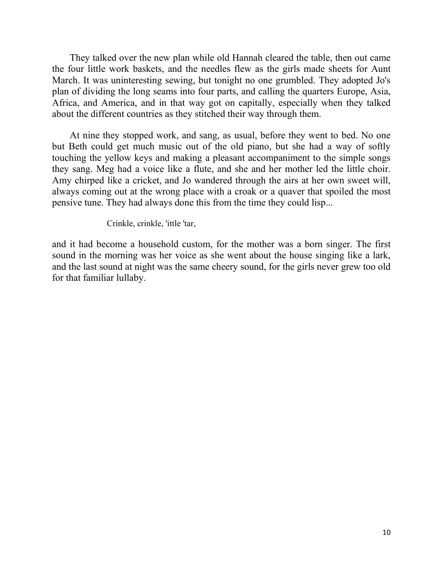They talked over the new plan while old Hannah cleared the table, then out came the four little work baskets, and the needles flew as the girls made sheets for Aunt March. It was uninteresting sewing, but tonight no one grumbled. They adopted Jo's plan of dividing the long seams into four parts, and calling the quarters Europe, Asia, Africa, and America, and in that way got on capitally, especially when they talked about the different countries as they stitched their way through them.

At nine they stopped work, and sang, as usual, before they went to bed. No one but Beth could get much music out of the old piano, but she had a way of softly touching the yellow keys and making a pleasant accompaniment to the simple songs they sang. Meg had a voice like a flute, and she and her mother led the little choir. Amy chirped like a cricket, and Jo wandered through the airs at her own sweet will, always coming out at the wrong place with a croak or a quaver that spoiled the most pensive tune. They had always done this from the time they could lisp...

Crinkle, crinkle, 'ittle 'tar,

and it had become a household custom, for the mother was a born singer. The first sound in the morning was her voice as she went about the house singing like a lark, and the last sound at night was the same cheery sound, for the girls never grew too old for that familiar lullaby.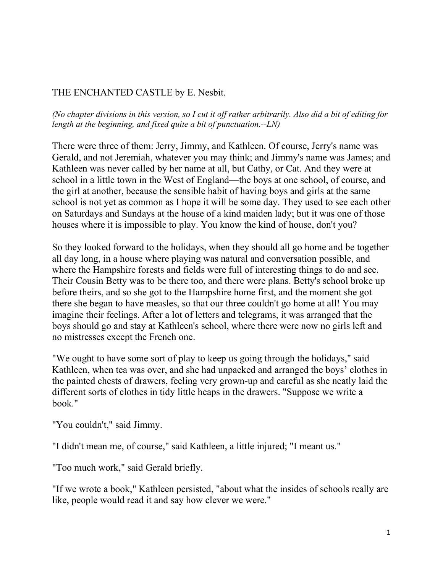### THE ENCHANTED CASTLE by E. Nesbit.

*(No chapter divisions in this version, so I cut it off rather arbitrarily. Also did a bit of editing for length at the beginning, and fixed quite a bit of punctuation.--LN)*

There were three of them: Jerry, Jimmy, and Kathleen. Of course, Jerry's name was Gerald, and not Jeremiah, whatever you may think; and Jimmy's name was James; and Kathleen was never called by her name at all, but Cathy, or Cat. And they were at school in a little town in the West of England—the boys at one school, of course, and the girl at another, because the sensible habit of having boys and girls at the same school is not yet as common as I hope it will be some day. They used to see each other on Saturdays and Sundays at the house of a kind maiden lady; but it was one of those houses where it is impossible to play. You know the kind of house, don't you?

So they looked forward to the holidays, when they should all go home and be together all day long, in a house where playing was natural and conversation possible, and where the Hampshire forests and fields were full of interesting things to do and see. Their Cousin Betty was to be there too, and there were plans. Betty's school broke up before theirs, and so she got to the Hampshire home first, and the moment she got there she began to have measles, so that our three couldn't go home at all! You may imagine their feelings. After a lot of letters and telegrams, it was arranged that the boys should go and stay at Kathleen's school, where there were now no girls left and no mistresses except the French one.

"We ought to have some sort of play to keep us going through the holidays," said Kathleen, when tea was over, and she had unpacked and arranged the boys' clothes in the painted chests of drawers, feeling very grown-up and careful as she neatly laid the different sorts of clothes in tidy little heaps in the drawers. "Suppose we write a book."

"You couldn't," said Jimmy.

"I didn't mean me, of course," said Kathleen, a little injured; "I meant us."

"Too much work," said Gerald briefly.

"If we wrote a book," Kathleen persisted, "about what the insides of schools really are like, people would read it and say how clever we were."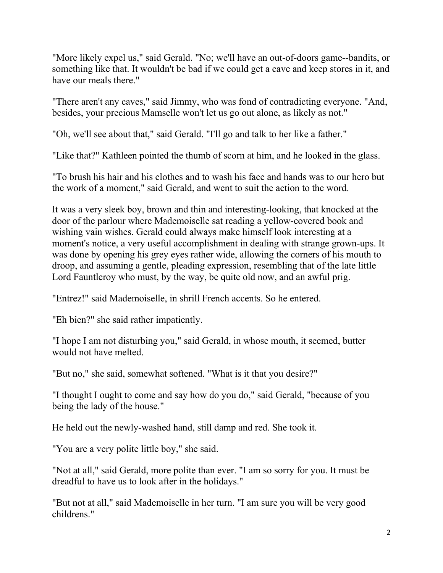"More likely expel us," said Gerald. "No; we'll have an out-of-doors game--bandits, or something like that. It wouldn't be bad if we could get a cave and keep stores in it, and have our meals there."

"There aren't any caves," said Jimmy, who was fond of contradicting everyone. "And, besides, your precious Mamselle won't let us go out alone, as likely as not."

"Oh, we'll see about that," said Gerald. "I'll go and talk to her like a father."

"Like that?" Kathleen pointed the thumb of scorn at him, and he looked in the glass.

"To brush his hair and his clothes and to wash his face and hands was to our hero but the work of a moment," said Gerald, and went to suit the action to the word.

It was a very sleek boy, brown and thin and interesting-looking, that knocked at the door of the parlour where Mademoiselle sat reading a yellow-covered book and wishing vain wishes. Gerald could always make himself look interesting at a moment's notice, a very useful accomplishment in dealing with strange grown-ups. It was done by opening his grey eyes rather wide, allowing the corners of his mouth to droop, and assuming a gentle, pleading expression, resembling that of the late little Lord Fauntleroy who must, by the way, be quite old now, and an awful prig.

"Entrez!" said Mademoiselle, in shrill French accents. So he entered.

"Eh bien?" she said rather impatiently.

"I hope I am not disturbing you," said Gerald, in whose mouth, it seemed, butter would not have melted.

"But no," she said, somewhat softened. "What is it that you desire?"

"I thought I ought to come and say how do you do," said Gerald, "because of you being the lady of the house."

He held out the newly-washed hand, still damp and red. She took it.

"You are a very polite little boy," she said.

"Not at all," said Gerald, more polite than ever. "I am so sorry for you. It must be dreadful to have us to look after in the holidays."

"But not at all," said Mademoiselle in her turn. "I am sure you will be very good childrens."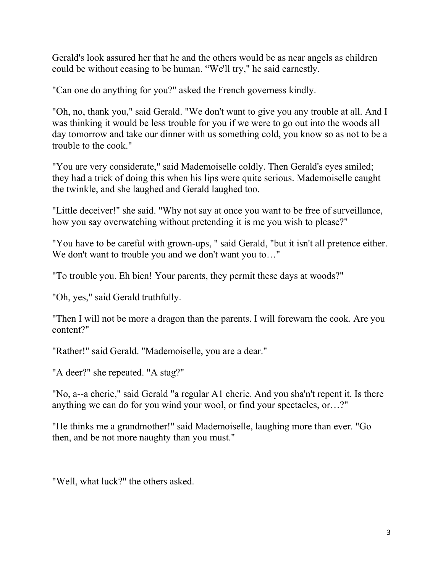Gerald's look assured her that he and the others would be as near angels as children could be without ceasing to be human. "We'll try," he said earnestly.

"Can one do anything for you?" asked the French governess kindly.

"Oh, no, thank you," said Gerald. "We don't want to give you any trouble at all. And I was thinking it would be less trouble for you if we were to go out into the woods all day tomorrow and take our dinner with us something cold, you know so as not to be a trouble to the cook."

"You are very considerate," said Mademoiselle coldly. Then Gerald's eyes smiled; they had a trick of doing this when his lips were quite serious. Mademoiselle caught the twinkle, and she laughed and Gerald laughed too.

"Little deceiver!" she said. "Why not say at once you want to be free of surveillance, how you say overwatching without pretending it is me you wish to please?"

"You have to be careful with grown-ups, " said Gerald, "but it isn't all pretence either. We don't want to trouble you and we don't want you to..."

"To trouble you. Eh bien! Your parents, they permit these days at woods?"

"Oh, yes," said Gerald truthfully.

"Then I will not be more a dragon than the parents. I will forewarn the cook. Are you content?"

"Rather!" said Gerald. "Mademoiselle, you are a dear."

"A deer?" she repeated. "A stag?"

"No, a--a cherie," said Gerald "a regular A1 cherie. And you sha'n't repent it. Is there anything we can do for you wind your wool, or find your spectacles, or…?"

"He thinks me a grandmother!" said Mademoiselle, laughing more than ever. "Go then, and be not more naughty than you must."

"Well, what luck?" the others asked.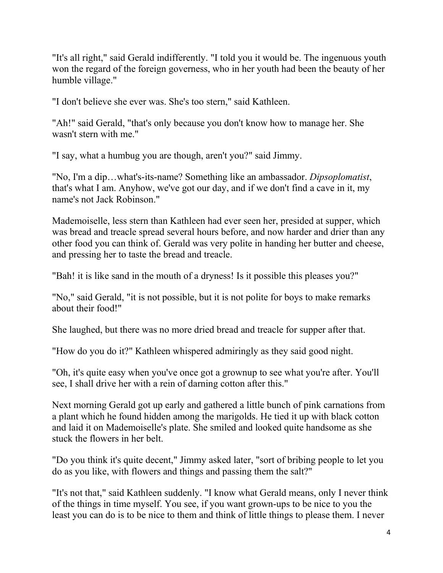"It's all right," said Gerald indifferently. "I told you it would be. The ingenuous youth won the regard of the foreign governess, who in her youth had been the beauty of her humble village."

"I don't believe she ever was. She's too stern," said Kathleen.

"Ah!" said Gerald, "that's only because you don't know how to manage her. She wasn't stern with me."

"I say, what a humbug you are though, aren't you?" said Jimmy.

"No, I'm a dip…what's-its-name? Something like an ambassador. *Dipsoplomatist*, that's what I am. Anyhow, we've got our day, and if we don't find a cave in it, my name's not Jack Robinson."

Mademoiselle, less stern than Kathleen had ever seen her, presided at supper, which was bread and treacle spread several hours before, and now harder and drier than any other food you can think of. Gerald was very polite in handing her butter and cheese, and pressing her to taste the bread and treacle.

"Bah! it is like sand in the mouth of a dryness! Is it possible this pleases you?"

"No," said Gerald, "it is not possible, but it is not polite for boys to make remarks about their food!"

She laughed, but there was no more dried bread and treacle for supper after that.

"How do you do it?" Kathleen whispered admiringly as they said good night.

"Oh, it's quite easy when you've once got a grownup to see what you're after. You'll see, I shall drive her with a rein of darning cotton after this."

Next morning Gerald got up early and gathered a little bunch of pink carnations from a plant which he found hidden among the marigolds. He tied it up with black cotton and laid it on Mademoiselle's plate. She smiled and looked quite handsome as she stuck the flowers in her belt.

"Do you think it's quite decent," Jimmy asked later, "sort of bribing people to let you do as you like, with flowers and things and passing them the salt?"

"It's not that," said Kathleen suddenly. "I know what Gerald means, only I never think of the things in time myself. You see, if you want grown-ups to be nice to you the least you can do is to be nice to them and think of little things to please them. I never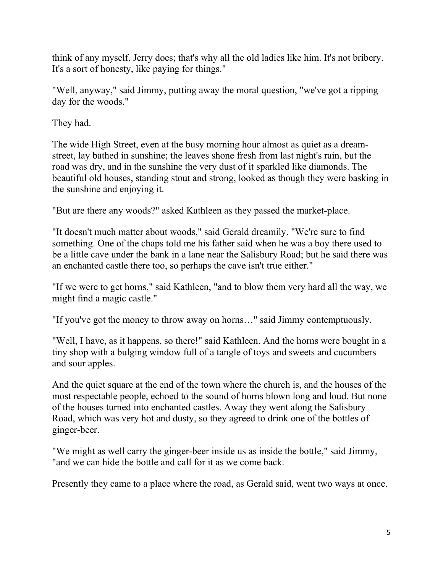think of any myself. Jerry does; that's why all the old ladies like him. It's not bribery. It's a sort of honesty, like paying for things."

"Well, anyway," said Jimmy, putting away the moral question, "we've got a ripping day for the woods."

They had.

The wide High Street, even at the busy morning hour almost as quiet as a dreamstreet, lay bathed in sunshine; the leaves shone fresh from last night's rain, but the road was dry, and in the sunshine the very dust of it sparkled like diamonds. The beautiful old houses, standing stout and strong, looked as though they were basking in the sunshine and enjoying it.

"But are there any woods?" asked Kathleen as they passed the market-place.

"It doesn't much matter about woods," said Gerald dreamily. "We're sure to find something. One of the chaps told me his father said when he was a boy there used to be a little cave under the bank in a lane near the Salisbury Road; but he said there was an enchanted castle there too, so perhaps the cave isn't true either."

"If we were to get horns," said Kathleen, "and to blow them very hard all the way, we might find a magic castle."

"If you've got the money to throw away on horns…" said Jimmy contemptuously.

"Well, I have, as it happens, so there!" said Kathleen. And the horns were bought in a tiny shop with a bulging window full of a tangle of toys and sweets and cucumbers and sour apples.

And the quiet square at the end of the town where the church is, and the houses of the most respectable people, echoed to the sound of horns blown long and loud. But none of the houses turned into enchanted castles. Away they went along the Salisbury Road, which was very hot and dusty, so they agreed to drink one of the bottles of ginger-beer.

"We might as well carry the ginger-beer inside us as inside the bottle," said Jimmy, "and we can hide the bottle and call for it as we come back.

Presently they came to a place where the road, as Gerald said, went two ways at once.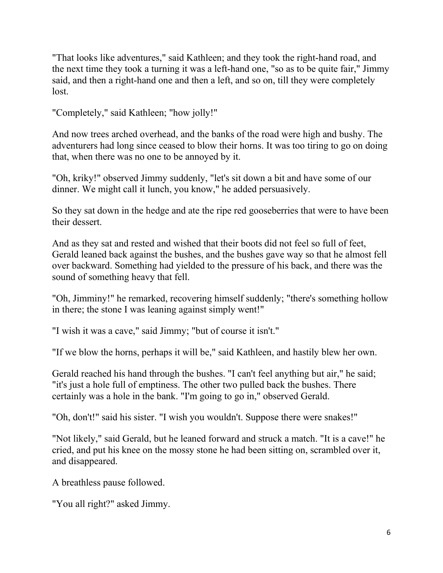"That looks like adventures," said Kathleen; and they took the right-hand road, and the next time they took a turning it was a left-hand one, "so as to be quite fair," Jimmy said, and then a right-hand one and then a left, and so on, till they were completely lost.

"Completely," said Kathleen; "how jolly!"

And now trees arched overhead, and the banks of the road were high and bushy. The adventurers had long since ceased to blow their horns. It was too tiring to go on doing that, when there was no one to be annoyed by it.

"Oh, kriky!" observed Jimmy suddenly, "let's sit down a bit and have some of our dinner. We might call it lunch, you know," he added persuasively.

So they sat down in the hedge and ate the ripe red gooseberries that were to have been their dessert.

And as they sat and rested and wished that their boots did not feel so full of feet, Gerald leaned back against the bushes, and the bushes gave way so that he almost fell over backward. Something had yielded to the pressure of his back, and there was the sound of something heavy that fell.

"Oh, Jimminy!" he remarked, recovering himself suddenly; "there's something hollow in there; the stone I was leaning against simply went!"

"I wish it was a cave," said Jimmy; "but of course it isn't."

"If we blow the horns, perhaps it will be," said Kathleen, and hastily blew her own.

Gerald reached his hand through the bushes. "I can't feel anything but air," he said; "it's just a hole full of emptiness. The other two pulled back the bushes. There certainly was a hole in the bank. "I'm going to go in," observed Gerald.

"Oh, don't!" said his sister. "I wish you wouldn't. Suppose there were snakes!"

"Not likely," said Gerald, but he leaned forward and struck a match. "It is a cave!" he cried, and put his knee on the mossy stone he had been sitting on, scrambled over it, and disappeared.

A breathless pause followed.

"You all right?" asked Jimmy.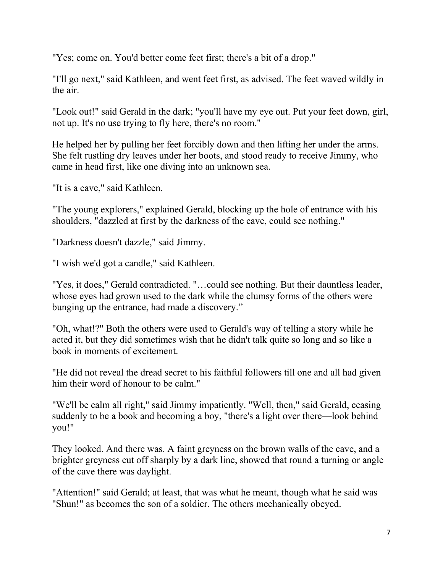"Yes; come on. You'd better come feet first; there's a bit of a drop."

"I'll go next," said Kathleen, and went feet first, as advised. The feet waved wildly in the air.

"Look out!" said Gerald in the dark; "you'll have my eye out. Put your feet down, girl, not up. It's no use trying to fly here, there's no room."

He helped her by pulling her feet forcibly down and then lifting her under the arms. She felt rustling dry leaves under her boots, and stood ready to receive Jimmy, who came in head first, like one diving into an unknown sea.

"It is a cave," said Kathleen.

"The young explorers," explained Gerald, blocking up the hole of entrance with his shoulders, "dazzled at first by the darkness of the cave, could see nothing."

"Darkness doesn't dazzle," said Jimmy.

"I wish we'd got a candle," said Kathleen.

"Yes, it does," Gerald contradicted. "…could see nothing. But their dauntless leader, whose eyes had grown used to the dark while the clumsy forms of the others were bunging up the entrance, had made a discovery."

"Oh, what!?" Both the others were used to Gerald's way of telling a story while he acted it, but they did sometimes wish that he didn't talk quite so long and so like a book in moments of excitement.

"He did not reveal the dread secret to his faithful followers till one and all had given him their word of honour to be calm."

"We'll be calm all right," said Jimmy impatiently. "Well, then," said Gerald, ceasing suddenly to be a book and becoming a boy, "there's a light over there—look behind you!"

They looked. And there was. A faint greyness on the brown walls of the cave, and a brighter greyness cut off sharply by a dark line, showed that round a turning or angle of the cave there was daylight.

"Attention!" said Gerald; at least, that was what he meant, though what he said was "Shun!" as becomes the son of a soldier. The others mechanically obeyed.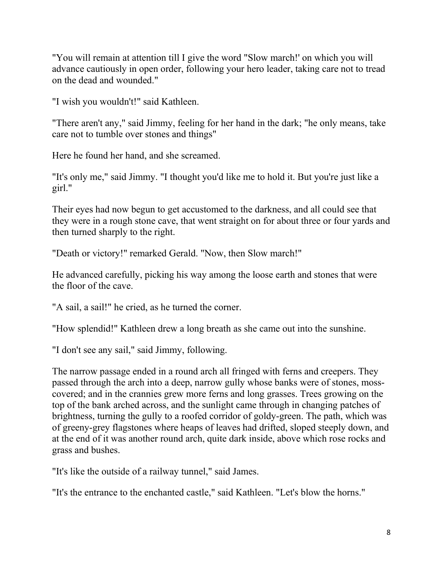"You will remain at attention till I give the word "Slow march!' on which you will advance cautiously in open order, following your hero leader, taking care not to tread on the dead and wounded."

"I wish you wouldn't!" said Kathleen.

"There aren't any," said Jimmy, feeling for her hand in the dark; "he only means, take care not to tumble over stones and things"

Here he found her hand, and she screamed.

"It's only me," said Jimmy. "I thought you'd like me to hold it. But you're just like a girl."

Their eyes had now begun to get accustomed to the darkness, and all could see that they were in a rough stone cave, that went straight on for about three or four yards and then turned sharply to the right.

"Death or victory!" remarked Gerald. "Now, then Slow march!"

He advanced carefully, picking his way among the loose earth and stones that were the floor of the cave.

"A sail, a sail!" he cried, as he turned the corner.

"How splendid!" Kathleen drew a long breath as she came out into the sunshine.

"I don't see any sail," said Jimmy, following.

The narrow passage ended in a round arch all fringed with ferns and creepers. They passed through the arch into a deep, narrow gully whose banks were of stones, mosscovered; and in the crannies grew more ferns and long grasses. Trees growing on the top of the bank arched across, and the sunlight came through in changing patches of brightness, turning the gully to a roofed corridor of goldy-green. The path, which was of greeny-grey flagstones where heaps of leaves had drifted, sloped steeply down, and at the end of it was another round arch, quite dark inside, above which rose rocks and grass and bushes.

"It's like the outside of a railway tunnel," said James.

"It's the entrance to the enchanted castle," said Kathleen. "Let's blow the horns."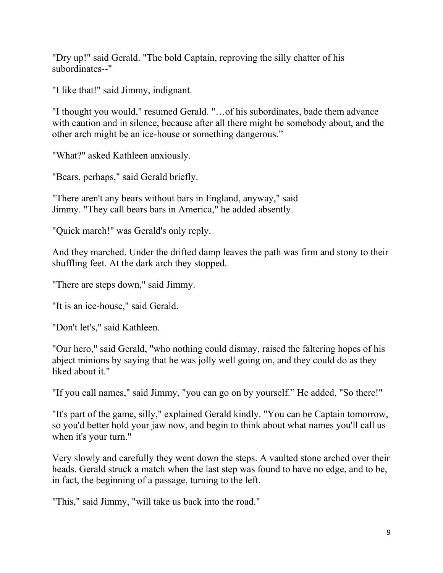"Dry up!" said Gerald. "The bold Captain, reproving the silly chatter of his subordinates--"

"I like that!" said Jimmy, indignant.

"I thought you would," resumed Gerald. "…of his subordinates, bade them advance with caution and in silence, because after all there might be somebody about, and the other arch might be an ice-house or something dangerous."

"What?" asked Kathleen anxiously.

"Bears, perhaps," said Gerald briefly.

"There aren't any bears without bars in England, anyway," said Jimmy. "They call bears bars in America," he added absently.

"Quick march!" was Gerald's only reply.

And they marched. Under the drifted damp leaves the path was firm and stony to their shuffling feet. At the dark arch they stopped.

"There are steps down," said Jimmy.

"It is an ice-house," said Gerald.

"Don't let's," said Kathleen.

"Our hero," said Gerald, "who nothing could dismay, raised the faltering hopes of his abject minions by saying that he was jolly well going on, and they could do as they liked about it."

"If you call names," said Jimmy, "you can go on by yourself." He added, "So there!"

"It's part of the game, silly," explained Gerald kindly. "You can be Captain tomorrow, so you'd better hold your jaw now, and begin to think about what names you'll call us when it's your turn."

Very slowly and carefully they went down the steps. A vaulted stone arched over their heads. Gerald struck a match when the last step was found to have no edge, and to be, in fact, the beginning of a passage, turning to the left.

"This," said Jimmy, "will take us back into the road."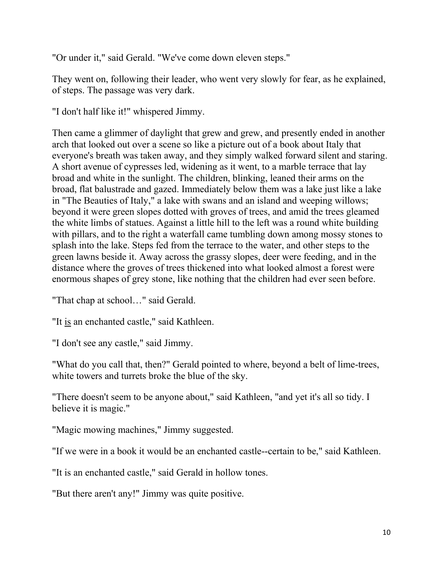"Or under it," said Gerald. "We've come down eleven steps."

They went on, following their leader, who went very slowly for fear, as he explained, of steps. The passage was very dark.

"I don't half like it!" whispered Jimmy.

Then came a glimmer of daylight that grew and grew, and presently ended in another arch that looked out over a scene so like a picture out of a book about Italy that everyone's breath was taken away, and they simply walked forward silent and staring. A short avenue of cypresses led, widening as it went, to a marble terrace that lay broad and white in the sunlight. The children, blinking, leaned their arms on the broad, flat balustrade and gazed. Immediately below them was a lake just like a lake in "The Beauties of Italy," a lake with swans and an island and weeping willows; beyond it were green slopes dotted with groves of trees, and amid the trees gleamed the white limbs of statues. Against a little hill to the left was a round white building with pillars, and to the right a waterfall came tumbling down among mossy stones to splash into the lake. Steps fed from the terrace to the water, and other steps to the green lawns beside it. Away across the grassy slopes, deer were feeding, and in the distance where the groves of trees thickened into what looked almost a forest were enormous shapes of grey stone, like nothing that the children had ever seen before.

"That chap at school…" said Gerald.

"It is an enchanted castle," said Kathleen.

"I don't see any castle," said Jimmy.

"What do you call that, then?" Gerald pointed to where, beyond a belt of lime-trees, white towers and turrets broke the blue of the sky.

"There doesn't seem to be anyone about," said Kathleen, "and yet it's all so tidy. I believe it is magic."

"Magic mowing machines," Jimmy suggested.

"If we were in a book it would be an enchanted castle--certain to be," said Kathleen.

"It is an enchanted castle," said Gerald in hollow tones.

"But there aren't any!" Jimmy was quite positive.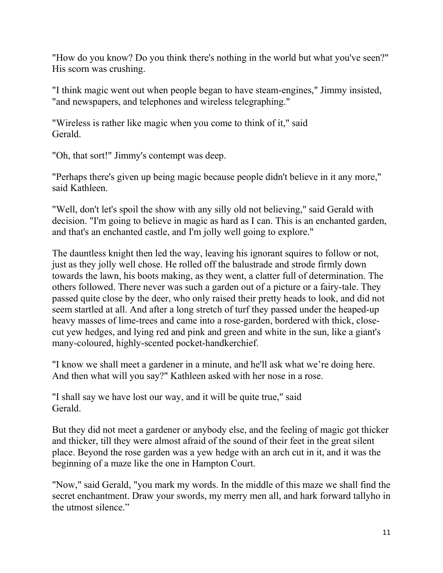"How do you know? Do you think there's nothing in the world but what you've seen?" His scorn was crushing.

"I think magic went out when people began to have steam-engines," Jimmy insisted, "and newspapers, and telephones and wireless telegraphing."

"Wireless is rather like magic when you come to think of it," said Gerald.

"Oh, that sort!" Jimmy's contempt was deep.

"Perhaps there's given up being magic because people didn't believe in it any more," said Kathleen.

"Well, don't let's spoil the show with any silly old not believing," said Gerald with decision. "I'm going to believe in magic as hard as I can. This is an enchanted garden, and that's an enchanted castle, and I'm jolly well going to explore."

The dauntless knight then led the way, leaving his ignorant squires to follow or not, just as they jolly well chose. He rolled off the balustrade and strode firmly down towards the lawn, his boots making, as they went, a clatter full of determination. The others followed. There never was such a garden out of a picture or a fairy-tale. They passed quite close by the deer, who only raised their pretty heads to look, and did not seem startled at all. And after a long stretch of turf they passed under the heaped-up heavy masses of lime-trees and came into a rose-garden, bordered with thick, closecut yew hedges, and lying red and pink and green and white in the sun, like a giant's many-coloured, highly-scented pocket-handkerchief.

"I know we shall meet a gardener in a minute, and he'll ask what we're doing here. And then what will you say?" Kathleen asked with her nose in a rose.

"I shall say we have lost our way, and it will be quite true," said **Gerald** 

But they did not meet a gardener or anybody else, and the feeling of magic got thicker and thicker, till they were almost afraid of the sound of their feet in the great silent place. Beyond the rose garden was a yew hedge with an arch cut in it, and it was the beginning of a maze like the one in Hampton Court.

"Now," said Gerald, "you mark my words. In the middle of this maze we shall find the secret enchantment. Draw your swords, my merry men all, and hark forward tallyho in the utmost silence."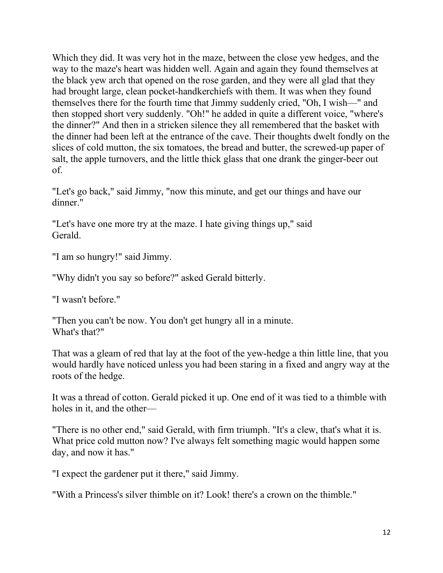Which they did. It was very hot in the maze, between the close yew hedges, and the way to the maze's heart was hidden well. Again and again they found themselves at the black yew arch that opened on the rose garden, and they were all glad that they had brought large, clean pocket-handkerchiefs with them. It was when they found themselves there for the fourth time that Jimmy suddenly cried, "Oh, I wish—" and then stopped short very suddenly. "Oh!" he added in quite a different voice, "where's the dinner?" And then in a stricken silence they all remembered that the basket with the dinner had been left at the entrance of the cave. Their thoughts dwelt fondly on the slices of cold mutton, the six tomatoes, the bread and butter, the screwed-up paper of salt, the apple turnovers, and the little thick glass that one drank the ginger-beer out of.

"Let's go back," said Jimmy, "now this minute, and get our things and have our dinner."

"Let's have one more try at the maze. I hate giving things up," said Gerald.

"I am so hungry!" said Jimmy.

"Why didn't you say so before?" asked Gerald bitterly.

"I wasn't before."

"Then you can't be now. You don't get hungry all in a minute. What's that?"

That was a gleam of red that lay at the foot of the yew-hedge a thin little line, that you would hardly have noticed unless you had been staring in a fixed and angry way at the roots of the hedge.

It was a thread of cotton. Gerald picked it up. One end of it was tied to a thimble with holes in it, and the other—

"There is no other end," said Gerald, with firm triumph. "It's a clew, that's what it is. What price cold mutton now? I've always felt something magic would happen some day, and now it has."

"I expect the gardener put it there," said Jimmy.

"With a Princess's silver thimble on it? Look! there's a crown on the thimble."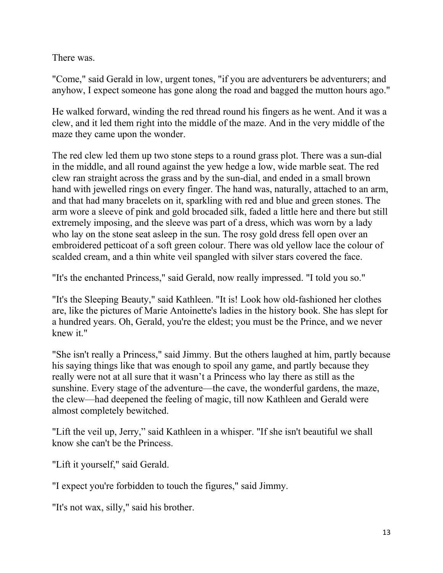There was.

"Come," said Gerald in low, urgent tones, "if you are adventurers be adventurers; and anyhow, I expect someone has gone along the road and bagged the mutton hours ago."

He walked forward, winding the red thread round his fingers as he went. And it was a clew, and it led them right into the middle of the maze. And in the very middle of the maze they came upon the wonder.

The red clew led them up two stone steps to a round grass plot. There was a sun-dial in the middle, and all round against the yew hedge a low, wide marble seat. The red clew ran straight across the grass and by the sun-dial, and ended in a small brown hand with jewelled rings on every finger. The hand was, naturally, attached to an arm, and that had many bracelets on it, sparkling with red and blue and green stones. The arm wore a sleeve of pink and gold brocaded silk, faded a little here and there but still extremely imposing, and the sleeve was part of a dress, which was worn by a lady who lay on the stone seat asleep in the sun. The rosy gold dress fell open over an embroidered petticoat of a soft green colour. There was old yellow lace the colour of scalded cream, and a thin white veil spangled with silver stars covered the face.

"It's the enchanted Princess," said Gerald, now really impressed. "I told you so."

"It's the Sleeping Beauty," said Kathleen. "It is! Look how old-fashioned her clothes are, like the pictures of Marie Antoinette's ladies in the history book. She has slept for a hundred years. Oh, Gerald, you're the eldest; you must be the Prince, and we never knew it."

"She isn't really a Princess," said Jimmy. But the others laughed at him, partly because his saying things like that was enough to spoil any game, and partly because they really were not at all sure that it wasn't a Princess who lay there as still as the sunshine. Every stage of the adventure—the cave, the wonderful gardens, the maze, the clew—had deepened the feeling of magic, till now Kathleen and Gerald were almost completely bewitched.

"Lift the veil up, Jerry," said Kathleen in a whisper. "If she isn't beautiful we shall know she can't be the Princess.

"Lift it yourself," said Gerald.

"I expect you're forbidden to touch the figures," said Jimmy.

"It's not wax, silly," said his brother.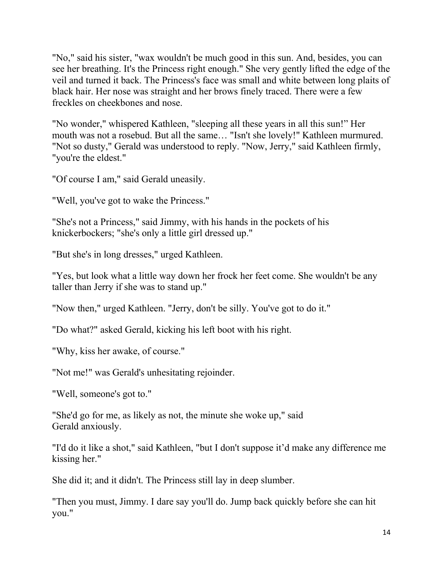"No," said his sister, "wax wouldn't be much good in this sun. And, besides, you can see her breathing. It's the Princess right enough." She very gently lifted the edge of the veil and turned it back. The Princess's face was small and white between long plaits of black hair. Her nose was straight and her brows finely traced. There were a few freckles on cheekbones and nose.

"No wonder," whispered Kathleen, "sleeping all these years in all this sun!" Her mouth was not a rosebud. But all the same… "Isn't she lovely!" Kathleen murmured. "Not so dusty," Gerald was understood to reply. "Now, Jerry," said Kathleen firmly, "you're the eldest."

"Of course I am," said Gerald uneasily.

"Well, you've got to wake the Princess."

"She's not a Princess," said Jimmy, with his hands in the pockets of his knickerbockers; "she's only a little girl dressed up."

"But she's in long dresses," urged Kathleen.

"Yes, but look what a little way down her frock her feet come. She wouldn't be any taller than Jerry if she was to stand up."

"Now then," urged Kathleen. "Jerry, don't be silly. You've got to do it."

"Do what?" asked Gerald, kicking his left boot with his right.

"Why, kiss her awake, of course."

"Not me!" was Gerald's unhesitating rejoinder.

"Well, someone's got to."

"She'd go for me, as likely as not, the minute she woke up," said Gerald anxiously.

"I'd do it like a shot," said Kathleen, "but I don't suppose it'd make any difference me kissing her."

She did it; and it didn't. The Princess still lay in deep slumber.

"Then you must, Jimmy. I dare say you'll do. Jump back quickly before she can hit you."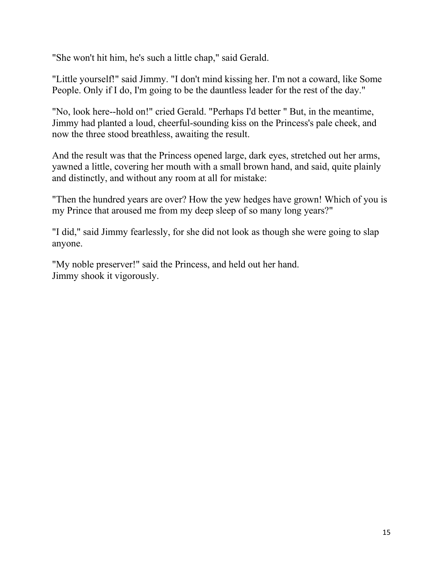"She won't hit him, he's such a little chap," said Gerald.

"Little yourself!" said Jimmy. "I don't mind kissing her. I'm not a coward, like Some People. Only if I do, I'm going to be the dauntless leader for the rest of the day."

"No, look here--hold on!" cried Gerald. "Perhaps I'd better " But, in the meantime, Jimmy had planted a loud, cheerful-sounding kiss on the Princess's pale cheek, and now the three stood breathless, awaiting the result.

And the result was that the Princess opened large, dark eyes, stretched out her arms, yawned a little, covering her mouth with a small brown hand, and said, quite plainly and distinctly, and without any room at all for mistake:

"Then the hundred years are over? How the yew hedges have grown! Which of you is my Prince that aroused me from my deep sleep of so many long years?"

"I did," said Jimmy fearlessly, for she did not look as though she were going to slap anyone.

"My noble preserver!" said the Princess, and held out her hand. Jimmy shook it vigorously.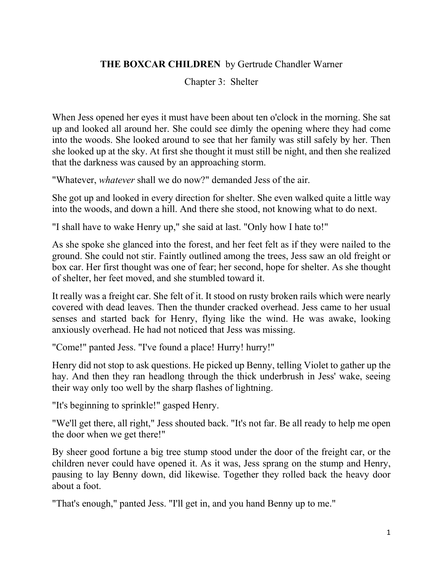### **THE BOXCAR CHILDREN** by Gertrude Chandler Warner

Chapter 3: Shelter

When Jess opened her eyes it must have been about ten o'clock in the morning. She sat up and looked all around her. She could see dimly the opening where they had come into the woods. She looked around to see that her family was still safely by her. Then she looked up at the sky. At first she thought it must still be night, and then she realized that the darkness was caused by an approaching storm.

"Whatever, *whatever* shall we do now?" demanded Jess of the air.

She got up and looked in every direction for shelter. She even walked quite a little way into the woods, and down a hill. And there she stood, not knowing what to do next.

"I shall have to wake Henry up," she said at last. "Only how I hate to!"

As she spoke she glanced into the forest, and her feet felt as if they were nailed to the ground. She could not stir. Faintly outlined among the trees, Jess saw an old freight or box car. Her first thought was one of fear; her second, hope for shelter. As she thought of shelter, her feet moved, and she stumbled toward it.

It really was a freight car. She felt of it. It stood on rusty broken rails which were nearly covered with dead leaves. Then the thunder cracked overhead. Jess came to her usual senses and started back for Henry, flying like the wind. He was awake, looking anxiously overhead. He had not noticed that Jess was missing.

"Come!" panted Jess. "I've found a place! Hurry! hurry!"

Henry did not stop to ask questions. He picked up Benny, telling Violet to gather up the hay. And then they ran headlong through the thick underbrush in Jess' wake, seeing their way only too well by the sharp flashes of lightning.

"It's beginning to sprinkle!" gasped Henry.

"We'll get there, all right," Jess shouted back. "It's not far. Be all ready to help me open the door when we get there!"

By sheer good fortune a big tree stump stood under the door of the freight car, or the children never could have opened it. As it was, Jess sprang on the stump and Henry, pausing to lay Benny down, did likewise. Together they rolled back the heavy door about a foot.

"That's enough," panted Jess. "I'll get in, and you hand Benny up to me."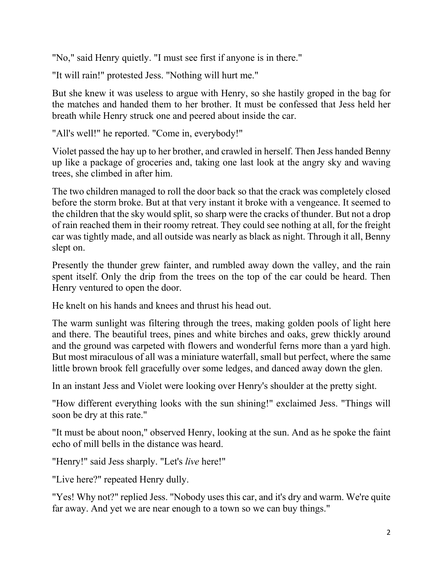"No," said Henry quietly. "I must see first if anyone is in there."

"It will rain!" protested Jess. "Nothing will hurt me."

But she knew it was useless to argue with Henry, so she hastily groped in the bag for the matches and handed them to her brother. It must be confessed that Jess held her breath while Henry struck one and peered about inside the car.

"All's well!" he reported. "Come in, everybody!"

Violet passed the hay up to her brother, and crawled in herself. Then Jess handed Benny up like a package of groceries and, taking one last look at the angry sky and waving trees, she climbed in after him.

The two children managed to roll the door back so that the crack was completely closed before the storm broke. But at that very instant it broke with a vengeance. It seemed to the children that the sky would split, so sharp were the cracks of thunder. But not a drop of rain reached them in their roomy retreat. They could see nothing at all, for the freight car was tightly made, and all outside was nearly as black as night. Through it all, Benny slept on.

Presently the thunder grew fainter, and rumbled away down the valley, and the rain spent itself. Only the drip from the trees on the top of the car could be heard. Then Henry ventured to open the door.

He knelt on his hands and knees and thrust his head out.

The warm sunlight was filtering through the trees, making golden pools of light here and there. The beautiful trees, pines and white birches and oaks, grew thickly around and the ground was carpeted with flowers and wonderful ferns more than a yard high. But most miraculous of all was a miniature waterfall, small but perfect, where the same little brown brook fell gracefully over some ledges, and danced away down the glen.

In an instant Jess and Violet were looking over Henry's shoulder at the pretty sight.

"How different everything looks with the sun shining!" exclaimed Jess. "Things will soon be dry at this rate."

"It must be about noon," observed Henry, looking at the sun. And as he spoke the faint echo of mill bells in the distance was heard.

"Henry!" said Jess sharply. "Let's *live* here!"

"Live here?" repeated Henry dully.

"Yes! Why not?" replied Jess. "Nobody uses this car, and it's dry and warm. We're quite far away. And yet we are near enough to a town so we can buy things."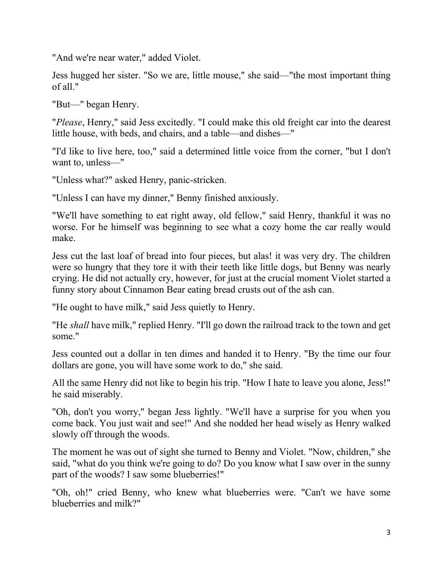"And we're near water," added Violet.

Jess hugged her sister. "So we are, little mouse," she said—"the most important thing of all."

"But—" began Henry.

"*Please*, Henry," said Jess excitedly. "I could make this old freight car into the dearest little house, with beds, and chairs, and a table—and dishes—"

"I'd like to live here, too," said a determined little voice from the corner, "but I don't want to, unless—"

"Unless what?" asked Henry, panic-stricken.

"Unless I can have my dinner," Benny finished anxiously.

"We'll have something to eat right away, old fellow," said Henry, thankful it was no worse. For he himself was beginning to see what a cozy home the car really would make.

Jess cut the last loaf of bread into four pieces, but alas! it was very dry. The children were so hungry that they tore it with their teeth like little dogs, but Benny was nearly crying. He did not actually cry, however, for just at the crucial moment Violet started a funny story about Cinnamon Bear eating bread crusts out of the ash can.

"He ought to have milk," said Jess quietly to Henry.

"He *shall* have milk," replied Henry. "I'll go down the railroad track to the town and get some."

Jess counted out a dollar in ten dimes and handed it to Henry. "By the time our four dollars are gone, you will have some work to do," she said.

All the same Henry did not like to begin his trip. "How I hate to leave you alone, Jess!" he said miserably.

"Oh, don't you worry," began Jess lightly. "We'll have a surprise for you when you come back. You just wait and see!" And she nodded her head wisely as Henry walked slowly off through the woods.

The moment he was out of sight she turned to Benny and Violet. "Now, children," she said, "what do you think we're going to do? Do you know what I saw over in the sunny part of the woods? I saw some blueberries!"

"Oh, oh!" cried Benny, who knew what blueberries were. "Can't we have some blueberries and milk?"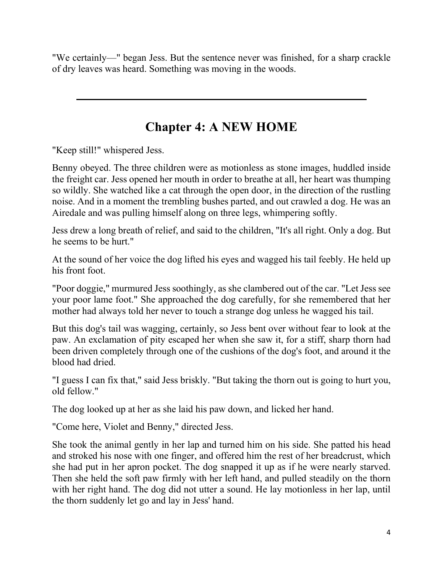"We certainly—" began Jess. But the sentence never was finished, for a sharp crackle of dry leaves was heard. Something was moving in the woods.

# **Chapter 4: A NEW HOME**

"Keep still!" whispered Jess.

Benny obeyed. The three children were as motionless as stone images, huddled inside the freight car. Jess opened her mouth in order to breathe at all, her heart was thumping so wildly. She watched like a cat through the open door, in the direction of the rustling noise. And in a moment the trembling bushes parted, and out crawled a dog. He was an Airedale and was pulling himself along on three legs, whimpering softly.

Jess drew a long breath of relief, and said to the children, "It's all right. Only a dog. But he seems to be hurt."

At the sound of her voice the dog lifted his eyes and wagged his tail feebly. He held up his front foot.

"Poor doggie," murmured Jess soothingly, as she clambered out of the car. "Let Jess see your poor lame foot." She approached the dog carefully, for she remembered that her mother had always told her never to touch a strange dog unless he wagged his tail.

But this dog's tail was wagging, certainly, so Jess bent over without fear to look at the paw. An exclamation of pity escaped her when she saw it, for a stiff, sharp thorn had been driven completely through one of the cushions of the dog's foot, and around it the blood had dried.

"I guess I can fix that," said Jess briskly. "But taking the thorn out is going to hurt you, old fellow."

The dog looked up at her as she laid his paw down, and licked her hand.

"Come here, Violet and Benny," directed Jess.

She took the animal gently in her lap and turned him on his side. She patted his head and stroked his nose with one finger, and offered him the rest of her breadcrust, which she had put in her apron pocket. The dog snapped it up as if he were nearly starved. Then she held the soft paw firmly with her left hand, and pulled steadily on the thorn with her right hand. The dog did not utter a sound. He lay motionless in her lap, until the thorn suddenly let go and lay in Jess' hand.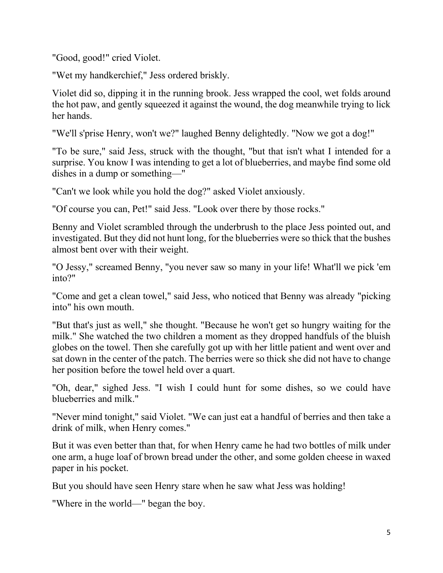"Good, good!" cried Violet.

"Wet my handkerchief," Jess ordered briskly.

Violet did so, dipping it in the running brook. Jess wrapped the cool, wet folds around the hot paw, and gently squeezed it against the wound, the dog meanwhile trying to lick her hands.

"We'll s'prise Henry, won't we?" laughed Benny delightedly. "Now we got a dog!"

"To be sure," said Jess, struck with the thought, "but that isn't what I intended for a surprise. You know I was intending to get a lot of blueberries, and maybe find some old dishes in a dump or something—"

"Can't we look while you hold the dog?" asked Violet anxiously.

"Of course you can, Pet!" said Jess. "Look over there by those rocks."

Benny and Violet scrambled through the underbrush to the place Jess pointed out, and investigated. But they did not hunt long, for the blueberries were so thick that the bushes almost bent over with their weight.

"O Jessy," screamed Benny, "you never saw so many in your life! What'll we pick 'em into?"

"Come and get a clean towel," said Jess, who noticed that Benny was already "picking into" his own mouth.

"But that's just as well," she thought. "Because he won't get so hungry waiting for the milk." She watched the two children a moment as they dropped handfuls of the bluish globes on the towel. Then she carefully got up with her little patient and went over and sat down in the center of the patch. The berries were so thick she did not have to change her position before the towel held over a quart.

"Oh, dear," sighed Jess. "I wish I could hunt for some dishes, so we could have blueberries and milk."

"Never mind tonight," said Violet. "We can just eat a handful of berries and then take a drink of milk, when Henry comes."

But it was even better than that, for when Henry came he had two bottles of milk under one arm, a huge loaf of brown bread under the other, and some golden cheese in waxed paper in his pocket.

But you should have seen Henry stare when he saw what Jess was holding!

"Where in the world—" began the boy.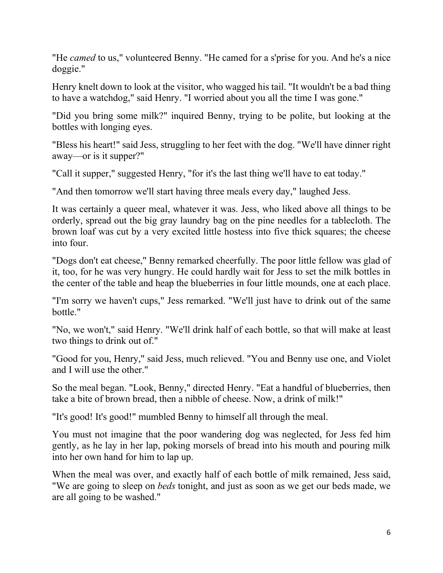"He *camed* to us," volunteered Benny. "He camed for a s'prise for you. And he's a nice doggie."

Henry knelt down to look at the visitor, who wagged his tail. "It wouldn't be a bad thing to have a watchdog," said Henry. "I worried about you all the time I was gone."

"Did you bring some milk?" inquired Benny, trying to be polite, but looking at the bottles with longing eyes.

"Bless his heart!" said Jess, struggling to her feet with the dog. "We'll have dinner right away—or is it supper?"

"Call it supper," suggested Henry, "for it's the last thing we'll have to eat today."

"And then tomorrow we'll start having three meals every day," laughed Jess.

It was certainly a queer meal, whatever it was. Jess, who liked above all things to be orderly, spread out the big gray laundry bag on the pine needles for a tablecloth. The brown loaf was cut by a very excited little hostess into five thick squares; the cheese into four.

"Dogs don't eat cheese," Benny remarked cheerfully. The poor little fellow was glad of it, too, for he was very hungry. He could hardly wait for Jess to set the milk bottles in the center of the table and heap the blueberries in four little mounds, one at each place.

"I'm sorry we haven't cups," Jess remarked. "We'll just have to drink out of the same bottle."

"No, we won't," said Henry. "We'll drink half of each bottle, so that will make at least two things to drink out of."

"Good for you, Henry," said Jess, much relieved. "You and Benny use one, and Violet and I will use the other."

So the meal began. "Look, Benny," directed Henry. "Eat a handful of blueberries, then take a bite of brown bread, then a nibble of cheese. Now, a drink of milk!"

"It's good! It's good!" mumbled Benny to himself all through the meal.

You must not imagine that the poor wandering dog was neglected, for Jess fed him gently, as he lay in her lap, poking morsels of bread into his mouth and pouring milk into her own hand for him to lap up.

When the meal was over, and exactly half of each bottle of milk remained, Jess said, "We are going to sleep on *beds* tonight, and just as soon as we get our beds made, we are all going to be washed."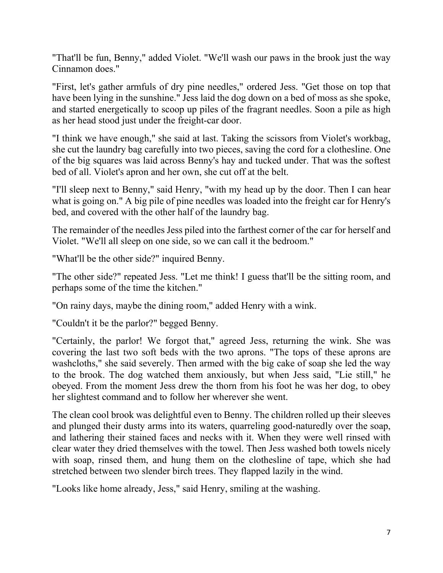"That'll be fun, Benny," added Violet. "We'll wash our paws in the brook just the way Cinnamon does."

"First, let's gather armfuls of dry pine needles," ordered Jess. "Get those on top that have been lying in the sunshine." Jess laid the dog down on a bed of moss as she spoke, and started energetically to scoop up piles of the fragrant needles. Soon a pile as high as her head stood just under the freight-car door.

"I think we have enough," she said at last. Taking the scissors from Violet's workbag, she cut the laundry bag carefully into two pieces, saving the cord for a clothesline. One of the big squares was laid across Benny's hay and tucked under. That was the softest bed of all. Violet's apron and her own, she cut off at the belt.

"I'll sleep next to Benny," said Henry, "with my head up by the door. Then I can hear what is going on." A big pile of pine needles was loaded into the freight car for Henry's bed, and covered with the other half of the laundry bag.

The remainder of the needles Jess piled into the farthest corner of the car for herself and Violet. "We'll all sleep on one side, so we can call it the bedroom."

"What'll be the other side?" inquired Benny.

"The other side?" repeated Jess. "Let me think! I guess that'll be the sitting room, and perhaps some of the time the kitchen."

"On rainy days, maybe the dining room," added Henry with a wink.

"Couldn't it be the parlor?" begged Benny.

"Certainly, the parlor! We forgot that," agreed Jess, returning the wink. She was covering the last two soft beds with the two aprons. "The tops of these aprons are washcloths," she said severely. Then armed with the big cake of soap she led the way to the brook. The dog watched them anxiously, but when Jess said, "Lie still," he obeyed. From the moment Jess drew the thorn from his foot he was her dog, to obey her slightest command and to follow her wherever she went.

The clean cool brook was delightful even to Benny. The children rolled up their sleeves and plunged their dusty arms into its waters, quarreling good-naturedly over the soap, and lathering their stained faces and necks with it. When they were well rinsed with clear water they dried themselves with the towel. Then Jess washed both towels nicely with soap, rinsed them, and hung them on the clothesline of tape, which she had stretched between two slender birch trees. They flapped lazily in the wind.

"Looks like home already, Jess," said Henry, smiling at the washing.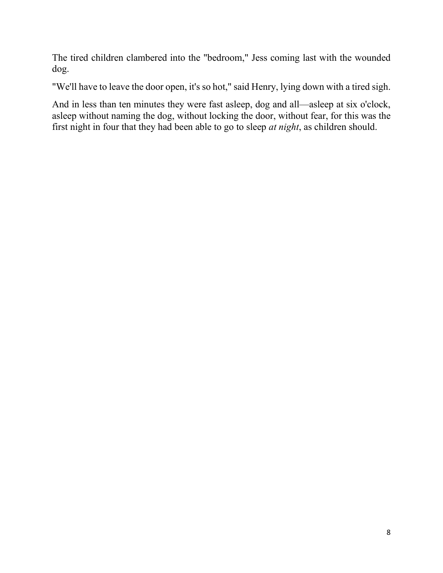The tired children clambered into the "bedroom," Jess coming last with the wounded dog.

"We'll have to leave the door open, it's so hot," said Henry, lying down with a tired sigh.

And in less than ten minutes they were fast asleep, dog and all—asleep at six o'clock, asleep without naming the dog, without locking the door, without fear, for this was the first night in four that they had been able to go to sleep *at night*, as children should.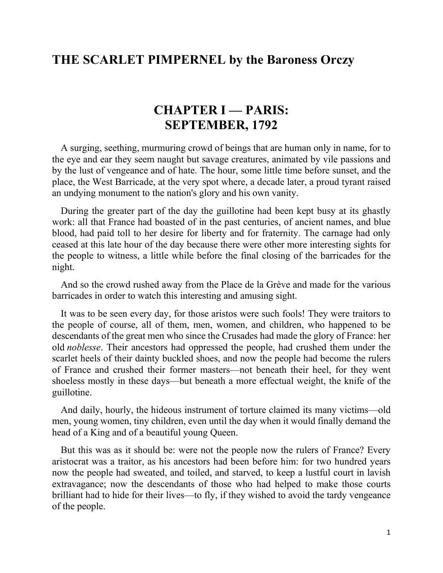# **THE SCARLET PIMPERNEL by the Baroness Orczy**

## **CHAPTER I — PARIS: SEPTEMBER, 1792**

A surging, seething, murmuring crowd of beings that are human only in name, for to the eye and ear they seem naught but savage creatures, animated by vile passions and by the lust of vengeance and of hate. The hour, some little time before sunset, and the place, the West Barricade, at the very spot where, a decade later, a proud tyrant raised an undying monument to the nation's glory and his own vanity.

During the greater part of the day the guillotine had been kept busy at its ghastly work: all that France had boasted of in the past centuries, of ancient names, and blue blood, had paid toll to her desire for liberty and for fraternity. The carnage had only ceased at this late hour of the day because there were other more interesting sights for the people to witness, a little while before the final closing of the barricades for the night.

And so the crowd rushed away from the Place de la Grève and made for the various barricades in order to watch this interesting and amusing sight.

It was to be seen every day, for those aristos were such fools! They were traitors to the people of course, all of them, men, women, and children, who happened to be descendants of the great men who since the Crusades had made the glory of France: her old *noblesse*. Their ancestors had oppressed the people, had crushed them under the scarlet heels of their dainty buckled shoes, and now the people had become the rulers of France and crushed their former masters—not beneath their heel, for they went shoeless mostly in these days—but beneath a more effectual weight, the knife of the guillotine.

And daily, hourly, the hideous instrument of torture claimed its many victims—old men, young women, tiny children, even until the day when it would finally demand the head of a King and of a beautiful young Queen.

But this was as it should be: were not the people now the rulers of France? Every aristocrat was a traitor, as his ancestors had been before him: for two hundred years now the people had sweated, and toiled, and starved, to keep a lustful court in lavish extravagance; now the descendants of those who had helped to make those courts brilliant had to hide for their lives—to fly, if they wished to avoid the tardy vengeance of the people.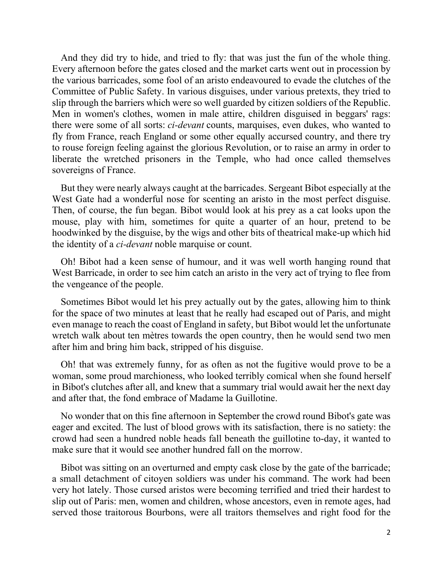And they did try to hide, and tried to fly: that was just the fun of the whole thing. Every afternoon before the gates closed and the market carts went out in procession by the various barricades, some fool of an aristo endeavoured to evade the clutches of the Committee of Public Safety. In various disguises, under various pretexts, they tried to slip through the barriers which were so well guarded by citizen soldiers of the Republic. Men in women's clothes, women in male attire, children disguised in beggars' rags: there were some of all sorts: *ci-devant* counts, marquises, even dukes, who wanted to fly from France, reach England or some other equally accursed country, and there try to rouse foreign feeling against the glorious Revolution, or to raise an army in order to liberate the wretched prisoners in the Temple, who had once called themselves sovereigns of France.

But they were nearly always caught at the barricades. Sergeant Bibot especially at the West Gate had a wonderful nose for scenting an aristo in the most perfect disguise. Then, of course, the fun began. Bibot would look at his prey as a cat looks upon the mouse, play with him, sometimes for quite a quarter of an hour, pretend to be hoodwinked by the disguise, by the wigs and other bits of theatrical make-up which hid the identity of a *ci-devant* noble marquise or count.

Oh! Bibot had a keen sense of humour, and it was well worth hanging round that West Barricade, in order to see him catch an aristo in the very act of trying to flee from the vengeance of the people.

Sometimes Bibot would let his prey actually out by the gates, allowing him to think for the space of two minutes at least that he really had escaped out of Paris, and might even manage to reach the coast of England in safety, but Bibot would let the unfortunate wretch walk about ten mètres towards the open country, then he would send two men after him and bring him back, stripped of his disguise.

Oh! that was extremely funny, for as often as not the fugitive would prove to be a woman, some proud marchioness, who looked terribly comical when she found herself in Bibot's clutches after all, and knew that a summary trial would await her the next day and after that, the fond embrace of Madame la Guillotine.

No wonder that on this fine afternoon in September the crowd round Bibot's gate was eager and excited. The lust of blood grows with its satisfaction, there is no satiety: the crowd had seen a hundred noble heads fall beneath the guillotine to-day, it wanted to make sure that it would see another hundred fall on the morrow.

Bibot was sitting on an overturned and empty cask close by the gate of the barricade; a small detachment of citoyen soldiers was under his command. The work had been very hot lately. Those cursed aristos were becoming terrified and tried their hardest to slip out of Paris: men, women and children, whose ancestors, even in remote ages, had served those traitorous Bourbons, were all traitors themselves and right food for the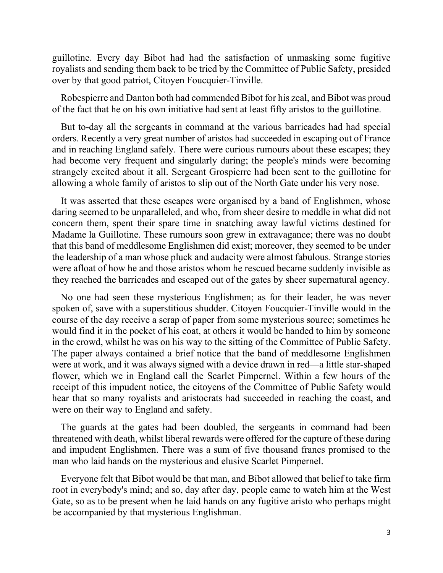guillotine. Every day Bibot had had the satisfaction of unmasking some fugitive royalists and sending them back to be tried by the Committee of Public Safety, presided over by that good patriot, Citoyen Foucquier-Tinville.

Robespierre and Danton both had commended Bibot for his zeal, and Bibot was proud of the fact that he on his own initiative had sent at least fifty aristos to the guillotine.

But to-day all the sergeants in command at the various barricades had had special orders. Recently a very great number of aristos had succeeded in escaping out of France and in reaching England safely. There were curious rumours about these escapes; they had become very frequent and singularly daring; the people's minds were becoming strangely excited about it all. Sergeant Grospierre had been sent to the guillotine for allowing a whole family of aristos to slip out of the North Gate under his very nose.

It was asserted that these escapes were organised by a band of Englishmen, whose daring seemed to be unparalleled, and who, from sheer desire to meddle in what did not concern them, spent their spare time in snatching away lawful victims destined for Madame la Guillotine. These rumours soon grew in extravagance; there was no doubt that this band of meddlesome Englishmen did exist; moreover, they seemed to be under the leadership of a man whose pluck and audacity were almost fabulous. Strange stories were afloat of how he and those aristos whom he rescued became suddenly invisible as they reached the barricades and escaped out of the gates by sheer supernatural agency.

No one had seen these mysterious Englishmen; as for their leader, he was never spoken of, save with a superstitious shudder. Citoyen Foucquier-Tinville would in the course of the day receive a scrap of paper from some mysterious source; sometimes he would find it in the pocket of his coat, at others it would be handed to him by someone in the crowd, whilst he was on his way to the sitting of the Committee of Public Safety. The paper always contained a brief notice that the band of meddlesome Englishmen were at work, and it was always signed with a device drawn in red—a little star-shaped flower, which we in England call the Scarlet Pimpernel. Within a few hours of the receipt of this impudent notice, the citoyens of the Committee of Public Safety would hear that so many royalists and aristocrats had succeeded in reaching the coast, and were on their way to England and safety.

The guards at the gates had been doubled, the sergeants in command had been threatened with death, whilst liberal rewards were offered for the capture of these daring and impudent Englishmen. There was a sum of five thousand francs promised to the man who laid hands on the mysterious and elusive Scarlet Pimpernel.

Everyone felt that Bibot would be that man, and Bibot allowed that belief to take firm root in everybody's mind; and so, day after day, people came to watch him at the West Gate, so as to be present when he laid hands on any fugitive aristo who perhaps might be accompanied by that mysterious Englishman.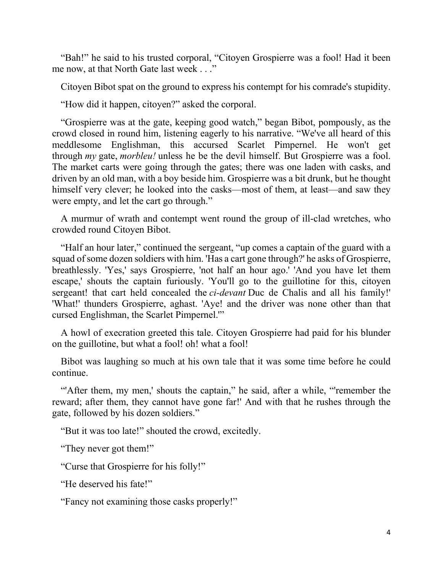"Bah!" he said to his trusted corporal, "Citoyen Grospierre was a fool! Had it been me now, at that North Gate last week . . ."

Citoyen Bibot spat on the ground to express his contempt for his comrade's stupidity.

"How did it happen, citoyen?" asked the corporal.

"Grospierre was at the gate, keeping good watch," began Bibot, pompously, as the crowd closed in round him, listening eagerly to his narrative. "We've all heard of this meddlesome Englishman, this accursed Scarlet Pimpernel. He won't get through *my* gate, *morbleu!* unless he be the devil himself. But Grospierre was a fool. The market carts were going through the gates; there was one laden with casks, and driven by an old man, with a boy beside him. Grospierre was a bit drunk, but he thought himself very clever; he looked into the casks—most of them, at least—and saw they were empty, and let the cart go through."

A murmur of wrath and contempt went round the group of ill-clad wretches, who crowded round Citoyen Bibot.

"Half an hour later," continued the sergeant, "up comes a captain of the guard with a squad of some dozen soldiers with him. 'Has a cart gone through?' he asks of Grospierre, breathlessly. 'Yes,' says Grospierre, 'not half an hour ago.' 'And you have let them escape,' shouts the captain furiously. 'You'll go to the guillotine for this, citoyen sergeant! that cart held concealed the *ci-devant* Duc de Chalis and all his family!' 'What!' thunders Grospierre, aghast. 'Aye! and the driver was none other than that cursed Englishman, the Scarlet Pimpernel.'"

A howl of execration greeted this tale. Citoyen Grospierre had paid for his blunder on the guillotine, but what a fool! oh! what a fool!

Bibot was laughing so much at his own tale that it was some time before he could continue.

"After them, my men,' shouts the captain," he said, after a while, "remember the reward; after them, they cannot have gone far!' And with that he rushes through the gate, followed by his dozen soldiers."

"But it was too late!" shouted the crowd, excitedly.

"They never got them!"

"Curse that Grospierre for his folly!"

"He deserved his fate!"

"Fancy not examining those casks properly!"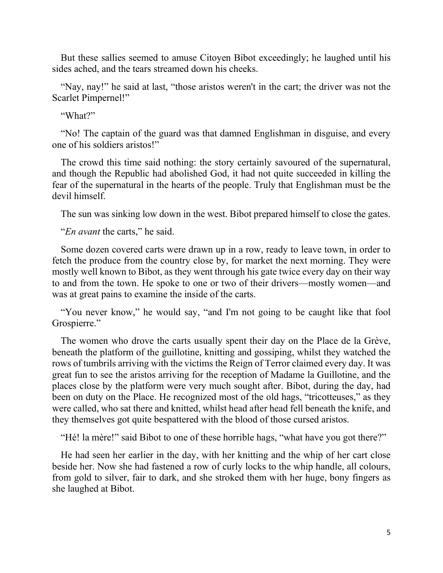But these sallies seemed to amuse Citoyen Bibot exceedingly; he laughed until his sides ached, and the tears streamed down his cheeks.

"Nay, nay!" he said at last, "those aristos weren't in the cart; the driver was not the Scarlet Pimpernel!"

"What?"

"No! The captain of the guard was that damned Englishman in disguise, and every one of his soldiers aristos!"

The crowd this time said nothing: the story certainly savoured of the supernatural, and though the Republic had abolished God, it had not quite succeeded in killing the fear of the supernatural in the hearts of the people. Truly that Englishman must be the devil himself.

The sun was sinking low down in the west. Bibot prepared himself to close the gates.

"*En avant* the carts," he said.

Some dozen covered carts were drawn up in a row, ready to leave town, in order to fetch the produce from the country close by, for market the next morning. They were mostly well known to Bibot, as they went through his gate twice every day on their way to and from the town. He spoke to one or two of their drivers—mostly women—and was at great pains to examine the inside of the carts.

"You never know," he would say, "and I'm not going to be caught like that fool Grospierre."

The women who drove the carts usually spent their day on the Place de la Grève, beneath the platform of the guillotine, knitting and gossiping, whilst they watched the rows of tumbrils arriving with the victims the Reign of Terror claimed every day. It was great fun to see the aristos arriving for the reception of Madame la Guillotine, and the places close by the platform were very much sought after. Bibot, during the day, had been on duty on the Place. He recognized most of the old hags, "tricotteuses," as they were called, who sat there and knitted, whilst head after head fell beneath the knife, and they themselves got quite bespattered with the blood of those cursed aristos.

"Hé! la mère!" said Bibot to one of these horrible hags, "what have you got there?"

He had seen her earlier in the day, with her knitting and the whip of her cart close beside her. Now she had fastened a row of curly locks to the whip handle, all colours, from gold to silver, fair to dark, and she stroked them with her huge, bony fingers as she laughed at Bibot.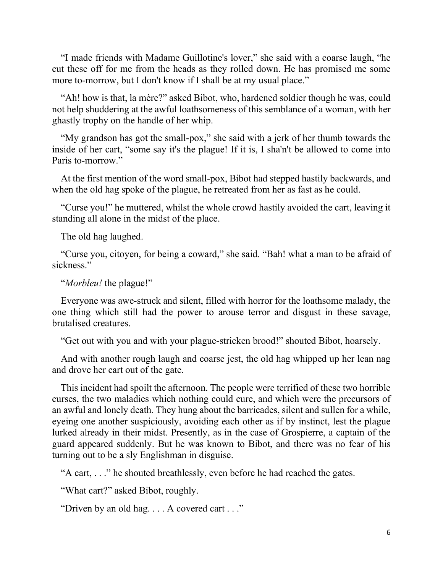"I made friends with Madame Guillotine's lover," she said with a coarse laugh, "he cut these off for me from the heads as they rolled down. He has promised me some more to-morrow, but I don't know if I shall be at my usual place."

"Ah! how is that, la mère?" asked Bibot, who, hardened soldier though he was, could not help shuddering at the awful loathsomeness of this semblance of a woman, with her ghastly trophy on the handle of her whip.

"My grandson has got the small-pox," she said with a jerk of her thumb towards the inside of her cart, "some say it's the plague! If it is, I sha'n't be allowed to come into Paris to-morrow"

At the first mention of the word small-pox, Bibot had stepped hastily backwards, and when the old hag spoke of the plague, he retreated from her as fast as he could.

"Curse you!" he muttered, whilst the whole crowd hastily avoided the cart, leaving it standing all alone in the midst of the place.

The old hag laughed.

"Curse you, citoyen, for being a coward," she said. "Bah! what a man to be afraid of sickness."

"*Morbleu!* the plague!"

Everyone was awe-struck and silent, filled with horror for the loathsome malady, the one thing which still had the power to arouse terror and disgust in these savage, brutalised creatures.

"Get out with you and with your plague-stricken brood!" shouted Bibot, hoarsely.

And with another rough laugh and coarse jest, the old hag whipped up her lean nag and drove her cart out of the gate.

This incident had spoilt the afternoon. The people were terrified of these two horrible curses, the two maladies which nothing could cure, and which were the precursors of an awful and lonely death. They hung about the barricades, silent and sullen for a while, eyeing one another suspiciously, avoiding each other as if by instinct, lest the plague lurked already in their midst. Presently, as in the case of Grospierre, a captain of the guard appeared suddenly. But he was known to Bibot, and there was no fear of his turning out to be a sly Englishman in disguise.

"A cart, . . ." he shouted breathlessly, even before he had reached the gates.

"What cart?" asked Bibot, roughly.

"Driven by an old hag. . . . A covered cart . . ."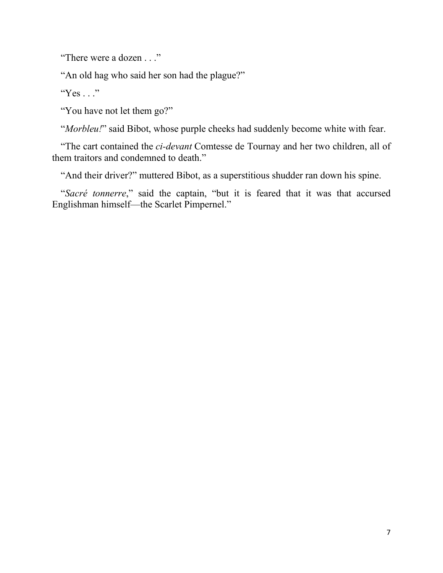"There were a dozen . . ."

"An old hag who said her son had the plague?"

"Yes  $\ldots$ "

"You have not let them go?"

"*Morbleu!*" said Bibot, whose purple cheeks had suddenly become white with fear.

"The cart contained the *ci-devant* Comtesse de Tournay and her two children, all of them traitors and condemned to death."

"And their driver?" muttered Bibot, as a superstitious shudder ran down his spine.

"*Sacré tonnerre*," said the captain, "but it is feared that it was that accursed Englishman himself—the Scarlet Pimpernel."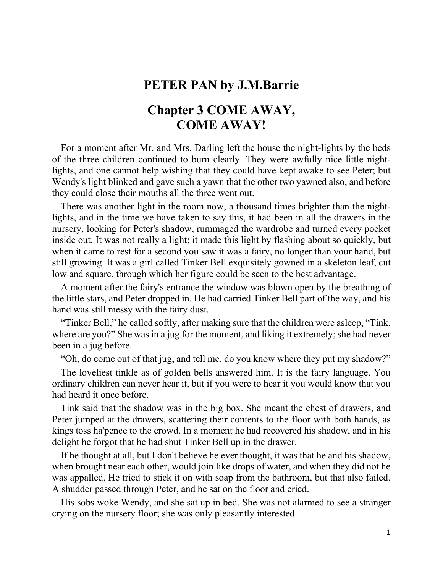## **PETER PAN by J.M.Barrie**

## **Chapter 3 COME AWAY, COME AWAY!**

For a moment after Mr. and Mrs. Darling left the house the night-lights by the beds of the three children continued to burn clearly. They were awfully nice little nightlights, and one cannot help wishing that they could have kept awake to see Peter; but Wendy's light blinked and gave such a yawn that the other two yawned also, and before they could close their mouths all the three went out.

There was another light in the room now, a thousand times brighter than the nightlights, and in the time we have taken to say this, it had been in all the drawers in the nursery, looking for Peter's shadow, rummaged the wardrobe and turned every pocket inside out. It was not really a light; it made this light by flashing about so quickly, but when it came to rest for a second you saw it was a fairy, no longer than your hand, but still growing. It was a girl called Tinker Bell exquisitely gowned in a skeleton leaf, cut low and square, through which her figure could be seen to the best advantage.

A moment after the fairy's entrance the window was blown open by the breathing of the little stars, and Peter dropped in. He had carried Tinker Bell part of the way, and his hand was still messy with the fairy dust.

"Tinker Bell," he called softly, after making sure that the children were asleep, "Tink, where are you?" She was in a jug for the moment, and liking it extremely; she had never been in a jug before.

"Oh, do come out of that jug, and tell me, do you know where they put my shadow?"

The loveliest tinkle as of golden bells answered him. It is the fairy language. You ordinary children can never hear it, but if you were to hear it you would know that you had heard it once before.

Tink said that the shadow was in the big box. She meant the chest of drawers, and Peter jumped at the drawers, scattering their contents to the floor with both hands, as kings toss ha'pence to the crowd. In a moment he had recovered his shadow, and in his delight he forgot that he had shut Tinker Bell up in the drawer.

If he thought at all, but I don't believe he ever thought, it was that he and his shadow, when brought near each other, would join like drops of water, and when they did not he was appalled. He tried to stick it on with soap from the bathroom, but that also failed. A shudder passed through Peter, and he sat on the floor and cried.

His sobs woke Wendy, and she sat up in bed. She was not alarmed to see a stranger crying on the nursery floor; she was only pleasantly interested.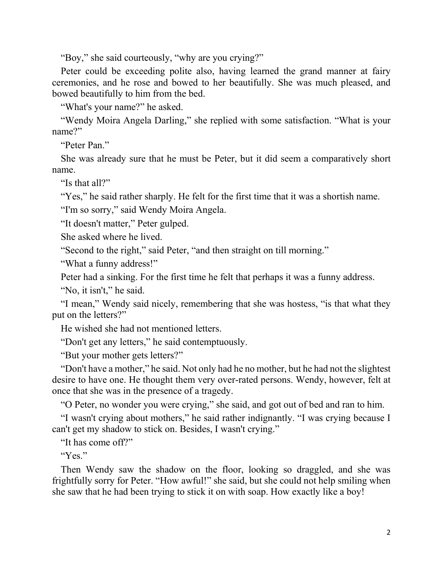"Boy," she said courteously, "why are you crying?"

Peter could be exceeding polite also, having learned the grand manner at fairy ceremonies, and he rose and bowed to her beautifully. She was much pleased, and bowed beautifully to him from the bed.

"What's your name?" he asked.

"Wendy Moira Angela Darling," she replied with some satisfaction. "What is your name?"

"Peter Pan"

She was already sure that he must be Peter, but it did seem a comparatively short name.

"Is that all?"

"Yes," he said rather sharply. He felt for the first time that it was a shortish name.

"I'm so sorry," said Wendy Moira Angela.

"It doesn't matter," Peter gulped.

She asked where he lived.

"Second to the right," said Peter, "and then straight on till morning."

"What a funny address!"

Peter had a sinking. For the first time he felt that perhaps it was a funny address.

"No, it isn't," he said.

"I mean," Wendy said nicely, remembering that she was hostess, "is that what they put on the letters?"

He wished she had not mentioned letters.

"Don't get any letters," he said contemptuously.

"But your mother gets letters?"

"Don't have a mother," he said. Not only had he no mother, but he had not the slightest desire to have one. He thought them very over-rated persons. Wendy, however, felt at once that she was in the presence of a tragedy.

"O Peter, no wonder you were crying," she said, and got out of bed and ran to him.

"I wasn't crying about mothers," he said rather indignantly. "I was crying because I can't get my shadow to stick on. Besides, I wasn't crying."

"It has come off?"

"Yes."

Then Wendy saw the shadow on the floor, looking so draggled, and she was frightfully sorry for Peter. "How awful!" she said, but she could not help smiling when she saw that he had been trying to stick it on with soap. How exactly like a boy!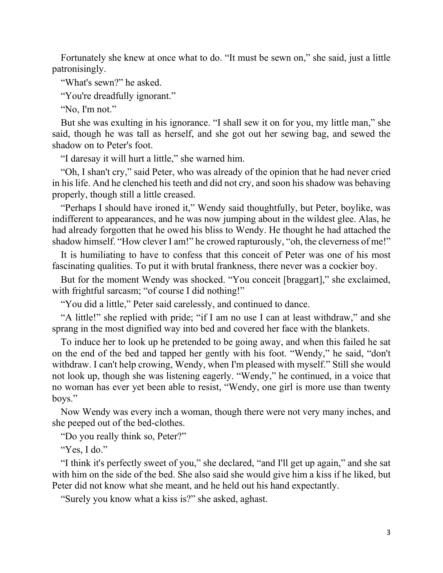Fortunately she knew at once what to do. "It must be sewn on," she said, just a little patronisingly.

"What's sewn?" he asked.

"You're dreadfully ignorant."

"No, I'm not."

But she was exulting in his ignorance. "I shall sew it on for you, my little man," she said, though he was tall as herself, and she got out her sewing bag, and sewed the shadow on to Peter's foot.

"I daresay it will hurt a little," she warned him.

"Oh, I shan't cry," said Peter, who was already of the opinion that he had never cried in his life. And he clenched his teeth and did not cry, and soon his shadow was behaving properly, though still a little creased.

"Perhaps I should have ironed it," Wendy said thoughtfully, but Peter, boylike, was indifferent to appearances, and he was now jumping about in the wildest glee. Alas, he had already forgotten that he owed his bliss to Wendy. He thought he had attached the shadow himself. "How clever I am!" he crowed rapturously, "oh, the cleverness of me!"

It is humiliating to have to confess that this conceit of Peter was one of his most fascinating qualities. To put it with brutal frankness, there never was a cockier boy.

But for the moment Wendy was shocked. "You conceit [braggart]," she exclaimed, with frightful sarcasm; "of course I did nothing!"

"You did a little," Peter said carelessly, and continued to dance.

"A little!" she replied with pride; "if I am no use I can at least withdraw," and she sprang in the most dignified way into bed and covered her face with the blankets.

To induce her to look up he pretended to be going away, and when this failed he sat on the end of the bed and tapped her gently with his foot. "Wendy," he said, "don't withdraw. I can't help crowing, Wendy, when I'm pleased with myself." Still she would not look up, though she was listening eagerly. "Wendy," he continued, in a voice that no woman has ever yet been able to resist, "Wendy, one girl is more use than twenty boys."

Now Wendy was every inch a woman, though there were not very many inches, and she peeped out of the bed-clothes.

"Do you really think so, Peter?"

"Yes, I do."

"I think it's perfectly sweet of you," she declared, "and I'll get up again," and she sat with him on the side of the bed. She also said she would give him a kiss if he liked, but Peter did not know what she meant, and he held out his hand expectantly.

"Surely you know what a kiss is?" she asked, aghast.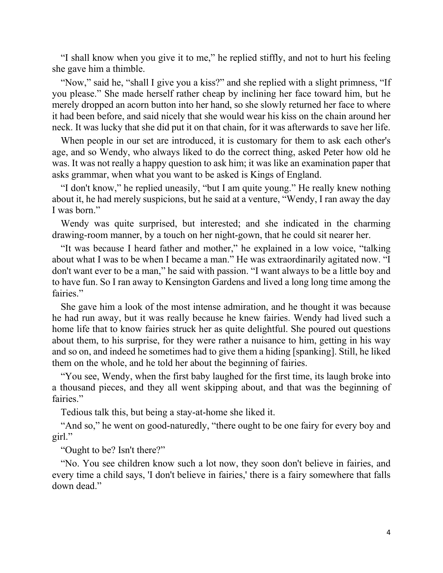"I shall know when you give it to me," he replied stiffly, and not to hurt his feeling she gave him a thimble.

"Now," said he, "shall I give you a kiss?" and she replied with a slight primness, "If you please." She made herself rather cheap by inclining her face toward him, but he merely dropped an acorn button into her hand, so she slowly returned her face to where it had been before, and said nicely that she would wear his kiss on the chain around her neck. It was lucky that she did put it on that chain, for it was afterwards to save her life.

When people in our set are introduced, it is customary for them to ask each other's age, and so Wendy, who always liked to do the correct thing, asked Peter how old he was. It was not really a happy question to ask him; it was like an examination paper that asks grammar, when what you want to be asked is Kings of England.

"I don't know," he replied uneasily, "but I am quite young." He really knew nothing about it, he had merely suspicions, but he said at a venture, "Wendy, I ran away the day I was born."

Wendy was quite surprised, but interested; and she indicated in the charming drawing-room manner, by a touch on her night-gown, that he could sit nearer her.

"It was because I heard father and mother," he explained in a low voice, "talking about what I was to be when I became a man." He was extraordinarily agitated now. "I don't want ever to be a man," he said with passion. "I want always to be a little boy and to have fun. So I ran away to Kensington Gardens and lived a long long time among the fairies."

She gave him a look of the most intense admiration, and he thought it was because he had run away, but it was really because he knew fairies. Wendy had lived such a home life that to know fairies struck her as quite delightful. She poured out questions about them, to his surprise, for they were rather a nuisance to him, getting in his way and so on, and indeed he sometimes had to give them a hiding [spanking]. Still, he liked them on the whole, and he told her about the beginning of fairies.

"You see, Wendy, when the first baby laughed for the first time, its laugh broke into a thousand pieces, and they all went skipping about, and that was the beginning of fairies."

Tedious talk this, but being a stay-at-home she liked it.

"And so," he went on good-naturedly, "there ought to be one fairy for every boy and girl."

"Ought to be? Isn't there?"

"No. You see children know such a lot now, they soon don't believe in fairies, and every time a child says, 'I don't believe in fairies,' there is a fairy somewhere that falls down dead."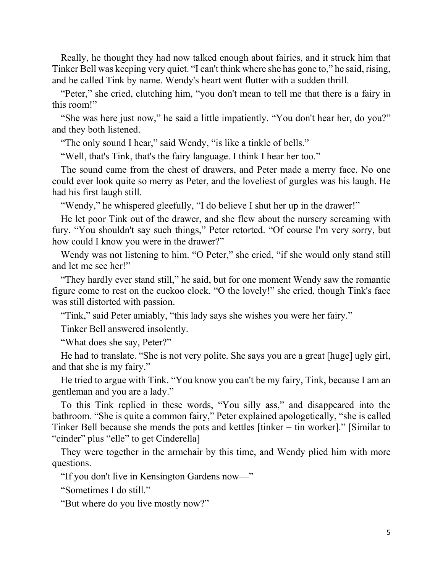Really, he thought they had now talked enough about fairies, and it struck him that Tinker Bell was keeping very quiet. "I can't think where she has gone to," he said, rising, and he called Tink by name. Wendy's heart went flutter with a sudden thrill.

"Peter," she cried, clutching him, "you don't mean to tell me that there is a fairy in this room!"

"She was here just now," he said a little impatiently. "You don't hear her, do you?" and they both listened.

"The only sound I hear," said Wendy, "is like a tinkle of bells."

"Well, that's Tink, that's the fairy language. I think I hear her too."

The sound came from the chest of drawers, and Peter made a merry face. No one could ever look quite so merry as Peter, and the loveliest of gurgles was his laugh. He had his first laugh still.

"Wendy," he whispered gleefully, "I do believe I shut her up in the drawer!"

He let poor Tink out of the drawer, and she flew about the nursery screaming with fury. "You shouldn't say such things," Peter retorted. "Of course I'm very sorry, but how could I know you were in the drawer?"

Wendy was not listening to him. "O Peter," she cried, "if she would only stand still and let me see her!"

"They hardly ever stand still," he said, but for one moment Wendy saw the romantic figure come to rest on the cuckoo clock. "O the lovely!" she cried, though Tink's face was still distorted with passion.

"Tink," said Peter amiably, "this lady says she wishes you were her fairy."

Tinker Bell answered insolently.

"What does she say, Peter?"

He had to translate. "She is not very polite. She says you are a great [huge] ugly girl, and that she is my fairy."

He tried to argue with Tink. "You know you can't be my fairy, Tink, because I am an gentleman and you are a lady."

To this Tink replied in these words, "You silly ass," and disappeared into the bathroom. "She is quite a common fairy," Peter explained apologetically, "she is called Tinker Bell because she mends the pots and kettles [tinker = tin worker]." [Similar to "cinder" plus "elle" to get Cinderella]

They were together in the armchair by this time, and Wendy plied him with more questions.

"If you don't live in Kensington Gardens now—"

"Sometimes I do still."

"But where do you live mostly now?"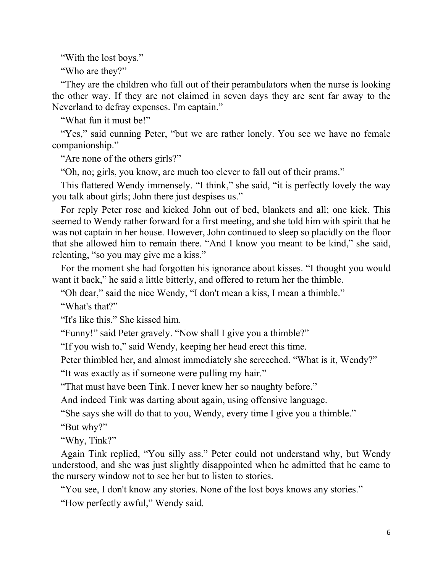"With the lost boys."

"Who are they?"

"They are the children who fall out of their perambulators when the nurse is looking the other way. If they are not claimed in seven days they are sent far away to the Neverland to defray expenses. I'm captain."

"What fun it must be!"

"Yes," said cunning Peter, "but we are rather lonely. You see we have no female companionship."

"Are none of the others girls?"

"Oh, no; girls, you know, are much too clever to fall out of their prams."

This flattered Wendy immensely. "I think," she said, "it is perfectly lovely the way you talk about girls; John there just despises us."

For reply Peter rose and kicked John out of bed, blankets and all; one kick. This seemed to Wendy rather forward for a first meeting, and she told him with spirit that he was not captain in her house. However, John continued to sleep so placidly on the floor that she allowed him to remain there. "And I know you meant to be kind," she said, relenting, "so you may give me a kiss."

For the moment she had forgotten his ignorance about kisses. "I thought you would want it back," he said a little bitterly, and offered to return her the thimble.

"Oh dear," said the nice Wendy, "I don't mean a kiss, I mean a thimble."

"What's that?"

"It's like this." She kissed him.

"Funny!" said Peter gravely. "Now shall I give you a thimble?"

"If you wish to," said Wendy, keeping her head erect this time.

Peter thimbled her, and almost immediately she screeched. "What is it, Wendy?"

"It was exactly as if someone were pulling my hair."

"That must have been Tink. I never knew her so naughty before."

And indeed Tink was darting about again, using offensive language.

"She says she will do that to you, Wendy, every time I give you a thimble."

"But why?"

"Why, Tink?"

Again Tink replied, "You silly ass." Peter could not understand why, but Wendy understood, and she was just slightly disappointed when he admitted that he came to the nursery window not to see her but to listen to stories.

"You see, I don't know any stories. None of the lost boys knows any stories."

"How perfectly awful," Wendy said.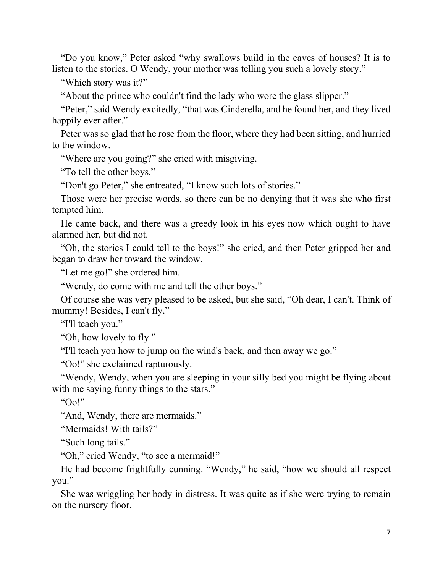"Do you know," Peter asked "why swallows build in the eaves of houses? It is to listen to the stories. O Wendy, your mother was telling you such a lovely story."

"Which story was it?"

"About the prince who couldn't find the lady who wore the glass slipper."

"Peter," said Wendy excitedly, "that was Cinderella, and he found her, and they lived happily ever after."

Peter was so glad that he rose from the floor, where they had been sitting, and hurried to the window.

"Where are you going?" she cried with misgiving.

"To tell the other boys."

"Don't go Peter," she entreated, "I know such lots of stories."

Those were her precise words, so there can be no denying that it was she who first tempted him.

He came back, and there was a greedy look in his eyes now which ought to have alarmed her, but did not.

"Oh, the stories I could tell to the boys!" she cried, and then Peter gripped her and began to draw her toward the window.

"Let me go!" she ordered him.

"Wendy, do come with me and tell the other boys."

Of course she was very pleased to be asked, but she said, "Oh dear, I can't. Think of mummy! Besides, I can't fly."

"I'll teach you."

"Oh, how lovely to fly."

"I'll teach you how to jump on the wind's back, and then away we go."

"Oo!" she exclaimed rapturously.

"Wendy, Wendy, when you are sleeping in your silly bed you might be flying about with me saying funny things to the stars."

" $O_0$ "

"And, Wendy, there are mermaids."

"Mermaids! With tails?"

"Such long tails."

"Oh," cried Wendy, "to see a mermaid!"

He had become frightfully cunning. "Wendy," he said, "how we should all respect you."

She was wriggling her body in distress. It was quite as if she were trying to remain on the nursery floor.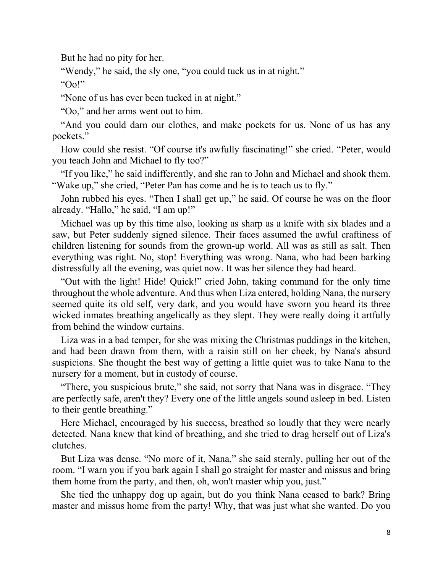But he had no pity for her.

"Wendy," he said, the sly one, "you could tuck us in at night."

" $O<sub>0</sub>$ "

"None of us has ever been tucked in at night."

"Oo," and her arms went out to him.

"And you could darn our clothes, and make pockets for us. None of us has any pockets."

How could she resist. "Of course it's awfully fascinating!" she cried. "Peter, would you teach John and Michael to fly too?"

"If you like," he said indifferently, and she ran to John and Michael and shook them. "Wake up," she cried, "Peter Pan has come and he is to teach us to fly."

John rubbed his eyes. "Then I shall get up," he said. Of course he was on the floor already. "Hallo," he said, "I am up!"

Michael was up by this time also, looking as sharp as a knife with six blades and a saw, but Peter suddenly signed silence. Their faces assumed the awful craftiness of children listening for sounds from the grown-up world. All was as still as salt. Then everything was right. No, stop! Everything was wrong. Nana, who had been barking distressfully all the evening, was quiet now. It was her silence they had heard.

"Out with the light! Hide! Quick!" cried John, taking command for the only time throughout the whole adventure. And thus when Liza entered, holding Nana, the nursery seemed quite its old self, very dark, and you would have sworn you heard its three wicked inmates breathing angelically as they slept. They were really doing it artfully from behind the window curtains.

Liza was in a bad temper, for she was mixing the Christmas puddings in the kitchen, and had been drawn from them, with a raisin still on her cheek, by Nana's absurd suspicions. She thought the best way of getting a little quiet was to take Nana to the nursery for a moment, but in custody of course.

"There, you suspicious brute," she said, not sorry that Nana was in disgrace. "They are perfectly safe, aren't they? Every one of the little angels sound asleep in bed. Listen to their gentle breathing."

Here Michael, encouraged by his success, breathed so loudly that they were nearly detected. Nana knew that kind of breathing, and she tried to drag herself out of Liza's clutches.

But Liza was dense. "No more of it, Nana," she said sternly, pulling her out of the room. "I warn you if you bark again I shall go straight for master and missus and bring them home from the party, and then, oh, won't master whip you, just."

She tied the unhappy dog up again, but do you think Nana ceased to bark? Bring master and missus home from the party! Why, that was just what she wanted. Do you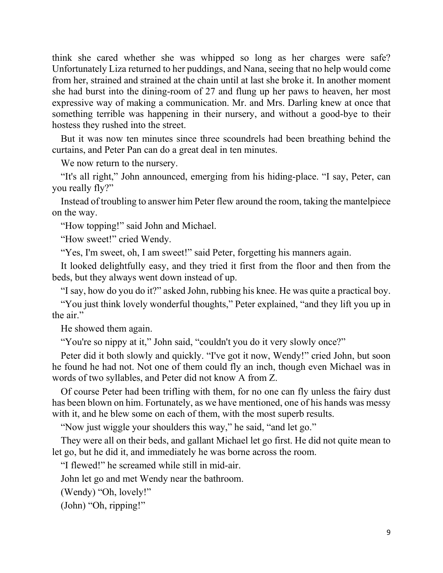think she cared whether she was whipped so long as her charges were safe? Unfortunately Liza returned to her puddings, and Nana, seeing that no help would come from her, strained and strained at the chain until at last she broke it. In another moment she had burst into the dining-room of 27 and flung up her paws to heaven, her most expressive way of making a communication. Mr. and Mrs. Darling knew at once that something terrible was happening in their nursery, and without a good-bye to their hostess they rushed into the street.

But it was now ten minutes since three scoundrels had been breathing behind the curtains, and Peter Pan can do a great deal in ten minutes.

We now return to the nursery.

"It's all right," John announced, emerging from his hiding-place. "I say, Peter, can you really fly?"

Instead of troubling to answer him Peter flew around the room, taking the mantelpiece on the way.

"How topping!" said John and Michael.

"How sweet!" cried Wendy.

"Yes, I'm sweet, oh, I am sweet!" said Peter, forgetting his manners again.

It looked delightfully easy, and they tried it first from the floor and then from the beds, but they always went down instead of up.

"I say, how do you do it?" asked John, rubbing his knee. He was quite a practical boy.

"You just think lovely wonderful thoughts," Peter explained, "and they lift you up in the air."

He showed them again.

"You're so nippy at it," John said, "couldn't you do it very slowly once?"

Peter did it both slowly and quickly. "I've got it now, Wendy!" cried John, but soon he found he had not. Not one of them could fly an inch, though even Michael was in words of two syllables, and Peter did not know A from Z.

Of course Peter had been trifling with them, for no one can fly unless the fairy dust has been blown on him. Fortunately, as we have mentioned, one of his hands was messy with it, and he blew some on each of them, with the most superb results.

"Now just wiggle your shoulders this way," he said, "and let go."

They were all on their beds, and gallant Michael let go first. He did not quite mean to let go, but he did it, and immediately he was borne across the room.

"I flewed!" he screamed while still in mid-air.

John let go and met Wendy near the bathroom.

(Wendy) "Oh, lovely!"

(John) "Oh, ripping!"